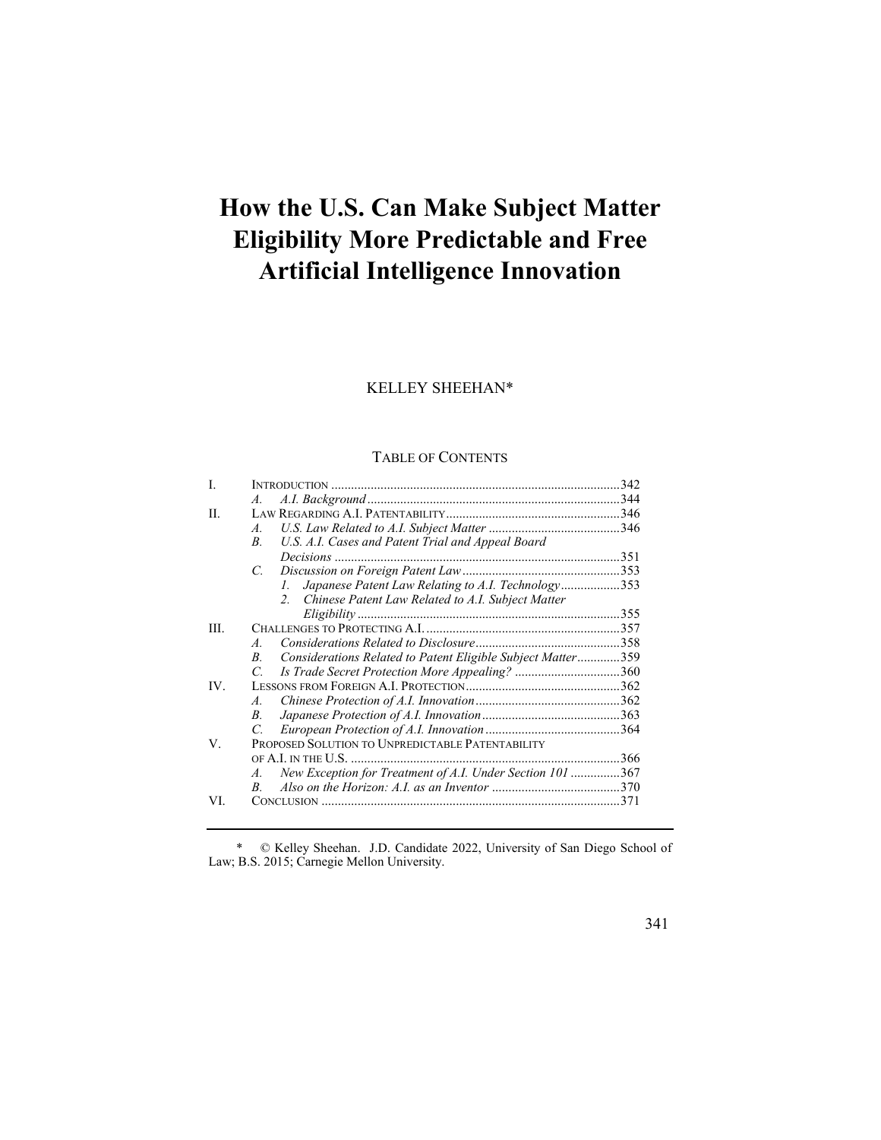# **How the U.S. Can Make Subject Matter Eligibility More Predictable and Free Artificial Intelligence Innovation**

## KELLEY SHEEHAN\*

## TABLE OF CONTENTS

| L    |                                                                            |  |
|------|----------------------------------------------------------------------------|--|
|      | $\mathcal{A}$ .                                                            |  |
| II.  |                                                                            |  |
|      | $\mathcal{A}$ .                                                            |  |
|      | U.S. A.I. Cases and Patent Trial and Appeal Board<br>$B_{\cdot}$           |  |
|      |                                                                            |  |
|      | C.                                                                         |  |
|      | Japanese Patent Law Relating to A.I. Technology353<br>L.                   |  |
|      | 2. Chinese Patent Law Related to A.I. Subject Matter                       |  |
|      |                                                                            |  |
| III. |                                                                            |  |
|      | $\overline{A}$                                                             |  |
|      | Considerations Related to Patent Eligible Subject Matter359<br>$B_{\cdot}$ |  |
|      | Is Trade Secret Protection More Appealing? 360<br>C.                       |  |
| IV.  |                                                                            |  |
|      | $\overline{A}$                                                             |  |
|      | $B_{\cdot}$                                                                |  |
|      | C.                                                                         |  |
| V.   | PROPOSED SOLUTION TO UNPREDICTABLE PATENTABILITY                           |  |
|      |                                                                            |  |
|      | New Exception for Treatment of A.I. Under Section 101 367<br>A.            |  |
|      | R.                                                                         |  |
| VI.  |                                                                            |  |
|      |                                                                            |  |

\* © Kelley Sheehan. J.D. Candidate 2022, University of San Diego School of Law; B.S. 2015; Carnegie Mellon University.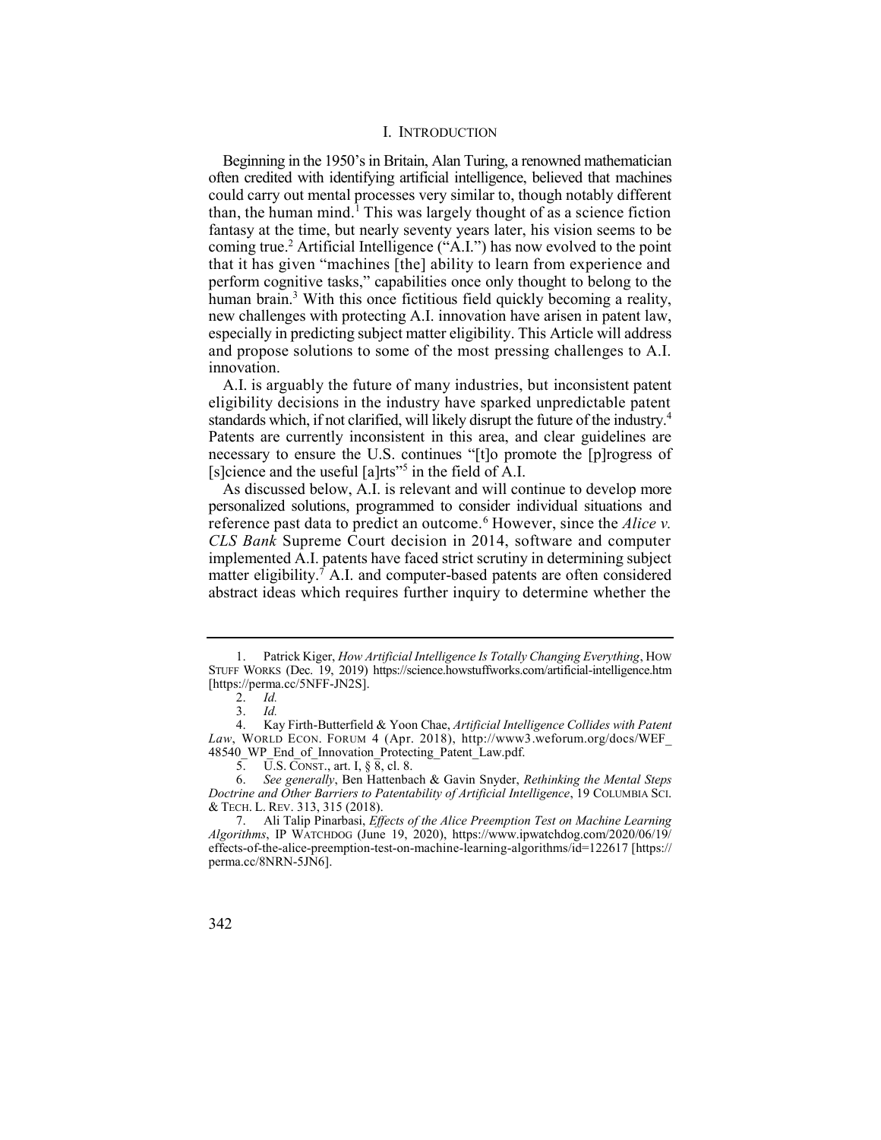## I. INTRODUCTION

Beginning in the 1950's in Britain, Alan Turing, a renowned mathematician than, the human mind.<sup>1</sup> This was largely thought of as a science fiction coming true.<sup>2</sup> Artificial Intelligence ("A.I.") has now evolved to the point human brain.<sup>3</sup> With this once fictitious field quickly becoming a reality, often credited with identifying artificial intelligence, believed that machines could carry out mental processes very similar to, though notably different fantasy at the time, but nearly seventy years later, his vision seems to be that it has given "machines [the] ability to learn from experience and perform cognitive tasks," capabilities once only thought to belong to the new challenges with protecting A.I. innovation have arisen in patent law, especially in predicting subject matter eligibility. This Article will address and propose solutions to some of the most pressing challenges to A.I. innovation.

 A.I. is arguably the future of many industries, but inconsistent patent eligibility decisions in the industry have sparked unpredictable patent standards which, if not clarified, will likely disrupt the future of the industry.<sup>4</sup> Patents are currently inconsistent in this area, and clear guidelines are necessary to ensure the U.S. continues "[t]o promote the [p]rogress of [s]cience and the useful  $[a]$ rts"<sup>5</sup> in the field of A.I.

reference past data to predict an outcome.<sup>6</sup> However, since the *Alice v*. As discussed below, A.I. is relevant and will continue to develop more personalized solutions, programmed to consider individual situations and *CLS Bank* Supreme Court decision in 2014, software and computer implemented A.I. patents have faced strict scrutiny in determining subject matter eligibility.<sup>7</sup> A.I. and computer-based patents are often considered abstract ideas which requires further inquiry to determine whether the

 1. Patrick Kiger, *How Artificial Intelligence Is Totally Changing Everything*, HOW STUFF WORKS (Dec. 19, 2019) <https://science.howstuffworks.com/artificial-intelligence.htm> [[https://perma.cc/5NFF-JN2S\]](https://perma.cc/5NFF-JN2S).

<sup>2.</sup> *Id.* 

<sup>3.</sup> *Id.* 

 4. Kay Firth-Butterfield & Yoon Chae, *Artificial Intelligence Collides with Patent Law*, WORLD ECON. FORUM 4 (Apr. 2018), [http://www3.weforum.org/docs/WEF\\_](http://www3.weforum.org/docs/WEF) 48540 WP End of Innovation Protecting Patent Law.pdf.

 5. U.S. CONST., art. I, § 8, cl. 8.

 6. *See generally*, Ben Hattenbach & Gavin Snyder, *Rethinking the Mental Steps Doctrine and Other Barriers to Patentability of Artificial Intelligence*, 19 COLUMBIA SCI. & TECH. L. REV. 313, 315 (2018).

 7. Ali Talip Pinarbasi, *Effects of the Alice Preemption Test on Machine Learning Algorithms*, IP WATCHDOG (June 19, 2020), <https://www.ipwatchdog.com/2020/06/19>/ effects-of-the-alice-preemption-test-on-machine-learning-algorithms/id=122617 [https:// perma.cc/8NRN-5JN6].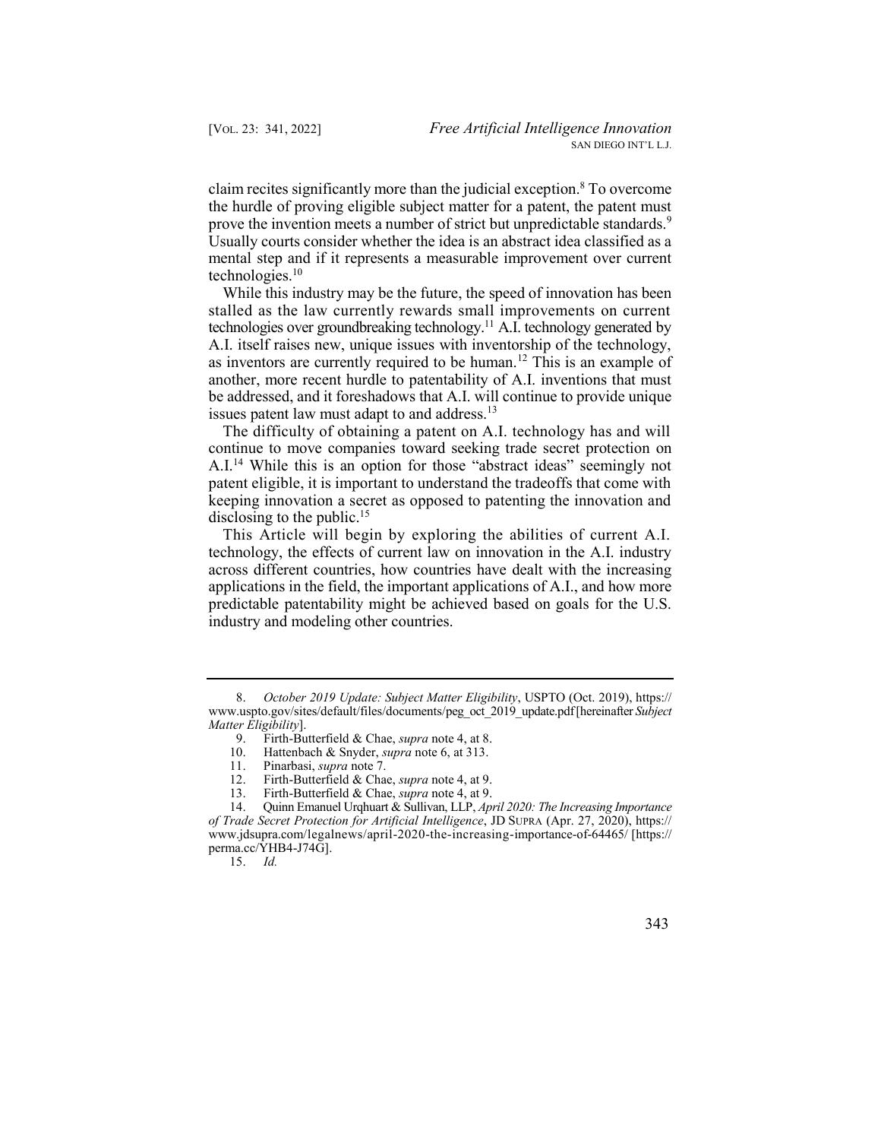claim recites significantly more than the judicial exception.<sup>8</sup> To overcome prove the invention meets a number of strict but unpredictable standards.<sup>9</sup> Usually courts consider whether the idea is an abstract idea classified as a mental step and if it represents a measurable improvement over current the hurdle of proving eligible subject matter for a patent, the patent must technologies. $10$ 

 While this industry may be the future, the speed of innovation has been technologies over groundbreaking technology.<sup>11</sup> A.I. technology generated by as inventors are currently required to be human.<sup>12</sup> This is an example of stalled as the law currently rewards small improvements on current A.I. itself raises new, unique issues with inventorship of the technology, another, more recent hurdle to patentability of A.I. inventions that must be addressed, and it foreshadows that A.I. will continue to provide unique issues patent law must adapt to and address.<sup>13</sup>

 The difficulty of obtaining a patent on A.I. technology has and will continue to move companies toward seeking trade secret protection on A.I.<sup>14</sup> While this is an option for those "abstract ideas" seemingly not patent eligible, it is important to understand the tradeoffs that come with keeping innovation a secret as opposed to patenting the innovation and disclosing to the public.<sup>15</sup>

 This Article will begin by exploring the abilities of current A.I. technology, the effects of current law on innovation in the A.I. industry across different countries, how countries have dealt with the increasing applications in the field, the important applications of A.I., and how more predictable patentability might be achieved based on goals for the U.S. industry and modeling other countries.

15. *Id.* 

 8. *October 2019 Update: Subject Matter Eligibility*, USPTO (Oct. 2019), https:// [www.uspto.gov/sites/default/files/documents/peg\\_oct\\_2019\\_update.pdf](www.uspto.gov/sites/default/files/documents/peg_oct_2019_update.pdf) [hereinafter *Subject Matter Eligibility*].

 9. Firth-Butterfield & Chae, *supra* note 4, at 8.

 10. Hattenbach & Snyder, *supra* note 6, at 313.

<sup>11.</sup> Pinarbasi, *supra* note 7.

 12. Firth-Butterfield & Chae, *supra* note 4, at 9.

 13. Firth-Butterfield & Chae, *supra* note 4, at 9.

 14. Quinn Emanuel Urqhuart & Sullivan, LLP, *April 2020: The Increasing Importance of Trade Secret Protection for Artificial Intelligence*, JD SUPRA (Apr. 27, 2020), https:// <www.jdsupra.com/legalnews/april-2020-the-increasing-importance-of-64465>/ [\[https://](https://perma.cc/YHB4-J74G)  [perma.cc/YHB4-J74G\]](https://perma.cc/YHB4-J74G).<br>15.  $Id$ .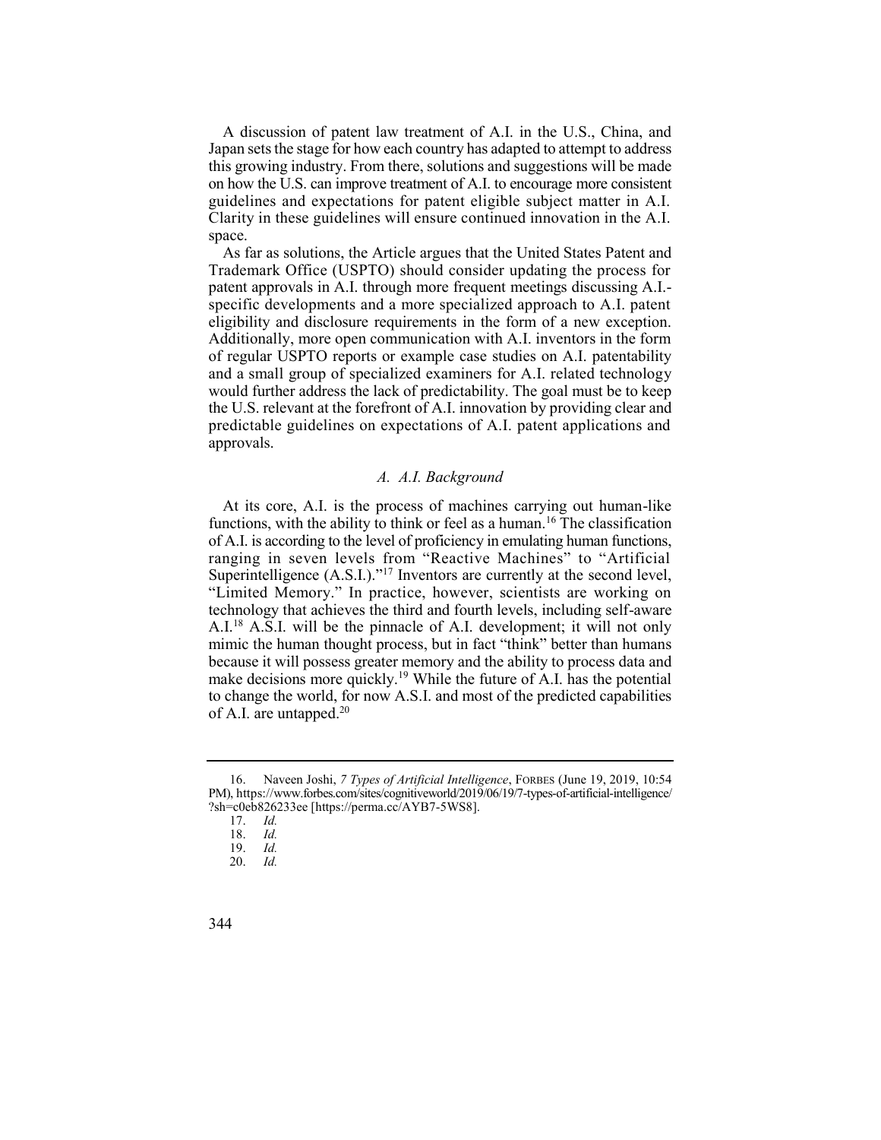A discussion of patent law treatment of A.I. in the U.S., China, and Japan sets the stage for how each country has adapted to attempt to address this growing industry. From there, solutions and suggestions will be made on how the U.S. can improve treatment of A.I. to encourage more consistent guidelines and expectations for patent eligible subject matter in A.I. Clarity in these guidelines will ensure continued innovation in the A.I. space.

 Trademark Office (USPTO) should consider updating the process for patent approvals in A.I. through more frequent meetings discussing A.I.- specific developments and a more specialized approach to A.I. patent eligibility and disclosure requirements in the form of a new exception. Additionally, more open communication with A.I. inventors in the form of regular USPTO reports or example case studies on A.I. patentability and a small group of specialized examiners for A.I. related technology would further address the lack of predictability. The goal must be to keep the U.S. relevant at the forefront of A.I. innovation by providing clear and predictable guidelines on expectations of A.I. patent applications and As far as solutions, the Article argues that the United States Patent and approvals.

## *A. A.I. Background*

functions, with the ability to think or feel as a human.<sup>16</sup> The classification Superintelligence  $(A.S.I.)$ ."<sup>17</sup> Inventors are currently at the second level, A.I.<sup>18</sup> A.S.I. will be the pinnacle of A.I. development; it will not only make decisions more quickly.<sup>19</sup> While the future of A.I. has the potential At its core, A.I. is the process of machines carrying out human-like of A.I. is according to the level of proficiency in emulating human functions, ranging in seven levels from "Reactive Machines" to "Artificial "Limited Memory." In practice, however, scientists are working on technology that achieves the third and fourth levels, including self-aware mimic the human thought process, but in fact "think" better than humans because it will possess greater memory and the ability to process data and to change the world, for now A.S.I. and most of the predicted capabilities of A.I. are untapped.<sup>20</sup>

 16. Naveen Joshi, *7 Types of Artificial Intelligence*, FORBES (June 19, 2019, 10:54 PM), [https://www.forbes.com/sites/cognitiveworld/2019/06/19/7-types-of-artificial-intelligence/](https://www.forbes.com/sites/cognitiveworld/2019/06/19/7-types-of-artificial-intelligence) ?sh=c0eb826233ee [\[https://perma.cc/AYB7-5WS8\]](https://perma.cc/AYB7-5WS8).

<sup>17.</sup> *Id.* 

<sup>18.</sup> *Id.* 

<sup>19.</sup> *Id.* 

<sup>20.</sup> *Id.* 

<sup>344</sup>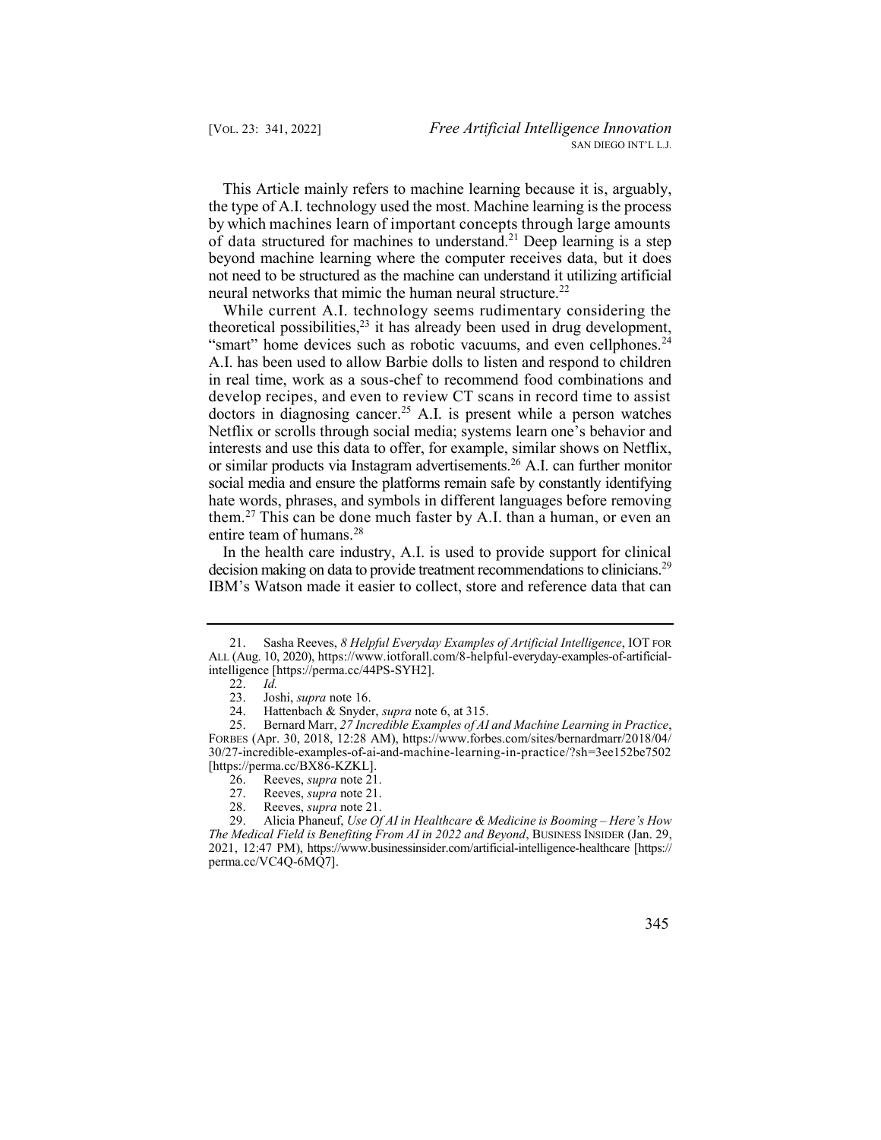This Article mainly refers to machine learning because it is, arguably, of data structured for machines to understand.<sup>21</sup> Deep learning is a step the type of A.I. technology used the most. Machine learning is the process by which machines learn of important concepts through large amounts beyond machine learning where the computer receives data, but it does not need to be structured as the machine can understand it utilizing artificial neural networks that mimic the human neural structure.<sup>22</sup>

theoretical possibilities, $2<sup>3</sup>$  it has already been used in drug development, doctors in diagnosing cancer.<sup>25</sup> A.I. is present while a person watches or similar products via Instagram advertisements.<sup>26</sup> A.I. can further monitor While current A.I. technology seems rudimentary considering the "smart" home devices such as robotic vacuums, and even [cellphones.](https://cellphones.24)<sup>24</sup> A.I. has been used to allow Barbie dolls to listen and respond to children in real time, work as a sous-chef to recommend food combinations and develop recipes, and even to review CT scans in record time to assist Netflix or scrolls through social media; systems learn one's behavior and interests and use this data to offer, for example, similar shows on Netflix, social media and ensure the platforms remain safe by constantly identifying hate words, phrases, and symbols in different languages before removing them.<sup>27</sup> This can be done much faster by A.I. than a human, or even an entire team of humans.<sup>28</sup>

decision making on data to provide treatment recommendations to clinicians.<sup>29</sup> IBM's Watson made it easier to collect, store and reference data that can In the health care industry, A.I. is used to provide support for clinical

28. Reeves, *supra* note 21.

 29. Alicia Phaneuf, *Use Of AI in Healthcare & Medicine is Booming – Here's How*  2021, 12:47 PM), <https://www.businessinsider.com/artificial-intelligence-healthcare>[https:// *The Medical Field is Benefiting From AI in 2022 and Beyond*, BUSINESS INSIDER (Jan. 29, perma.cc/VC4Q-6MQ7].

 ALL (Aug. 10, 2020),<https://www.iotforall.com/8-helpful-everyday-examples-of-artificial>-21. Sasha Reeves, *8 Helpful Everyday Examples of Artificial Intelligence*, IOT FOR intelligence [\[https://perma.cc/44PS-SYH2\]](https://perma.cc/44PS-SYH2).<br>22. *Id.* 

 $\frac{22}{23}$ .

<sup>23.</sup> Joshi, *supra* note 16.

 24. Hattenbach & Snyder, *supra* note 6, at 315.

 25. Bernard Marr, *27 Incredible Examples of AI and Machine Learning in Practice*, FORBES (Apr. 30, 2018, 12:28 AM), <https://www.forbes.com/sites/bernardmarr/2018/04>/ 30/27-incredible-examples-of-ai-and-machine-learning-in-practice/?sh=3ee152be7502 [[https://perma.cc/BX86-KZKL\]](https://perma.cc/BX86-KZKL).

<sup>26.</sup> Reeves, *supra* note 21.

<sup>27.</sup> Reeves, *supra* note 21.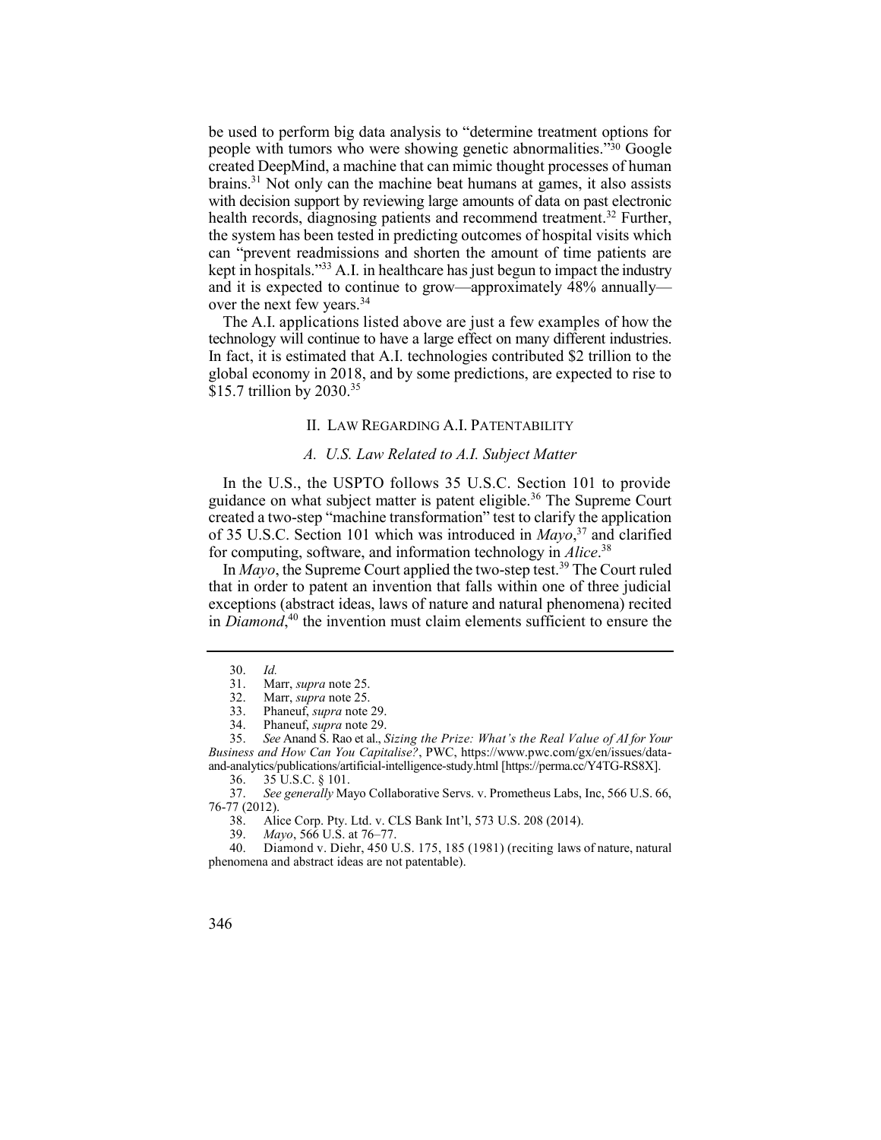people with tumors who were showing genetic abnormalities."30 Google brains.<sup>31</sup> Not only can the machine beat humans at games, it also assists kept in hospitals."33 A.I. in healthcare has just begun to impact the industry be used to perform big data analysis to "determine treatment options for created DeepMind, a machine that can mimic thought processes of human with decision support by reviewing large amounts of data on past electronic health records, diagnosing patients and recommend treatment.<sup>32</sup> Further, the system has been tested in predicting outcomes of hospital visits which can "prevent readmissions and shorten the amount of time patients are and it is expected to continue to grow—approximately 48% annually over the next few [years.34](https://years.34)

 The A.I. applications listed above are just a few examples of how the technology will continue to have a large effect on many different industries. In fact, it is estimated that A.I. technologies contributed \$2 trillion to the global economy in 2018, and by some predictions, are expected to rise to \$15.7 trillion by 2030.<sup>35</sup>

## II. LAW REGARDING A.I. PATENTABILITY

## *A. U.S. Law Related to A.I. Subject Matter*

guidance on what subject matter is patent eligible.<sup>36</sup> The Supreme Court In the U.S., the USPTO follows 35 U.S.C. Section 101 to provide created a two-step "machine transformation" test to clarify the application of 35 U.S.C. Section 101 which was introduced in *Mayo*, 37 and clarified for computing, software, and information technology in *[Alice](https://Alice.38)*. 38

In *Mayo*, the Supreme Court applied the two-step test.<sup>39</sup> The Court ruled in *Diamond*, 40 the invention must claim elements sufficient to ensure the that in order to patent an invention that falls within one of three judicial exceptions (abstract ideas, laws of nature and natural phenomena) recited

<sup>30.</sup> *Id.* 

<sup>31.</sup> Marr, *supra* note 25.

Marr, *supra* note 25.

<sup>33.</sup> Phaneuf, *supra* note 29.

<sup>34.</sup> Phaneuf, *supra* note 29.

 35. *See* Anand S. Rao et al., *Sizing the Prize: What's the Real Value of AI for Your Business and How Can You Capitalise?*, PWC, <https://www.pwc.com/gx/en/issues/data>and-analytics/publications/artificial-intelligence-study.html [\[https://perma.cc/Y4TG-RS8X\]](https://perma.cc/Y4TG-RS8X).

<sup>36. 35</sup> U.S.C. § 101.

 37. *See generally* Mayo Collaborative Servs. v. Prometheus Labs, Inc, 566 U.S. 66, 76-77 (2012).

 38. Alice Corp. Pty. Ltd. v. CLS Bank Int'l, 573 U.S. 208 (2014).

<sup>39.</sup> *Mayo*, 566 U.S. at 76–77.

 40. Diamond v. Diehr, 450 U.S. 175, 185 (1981) (reciting laws of nature, natural phenomena and abstract ideas are not patentable).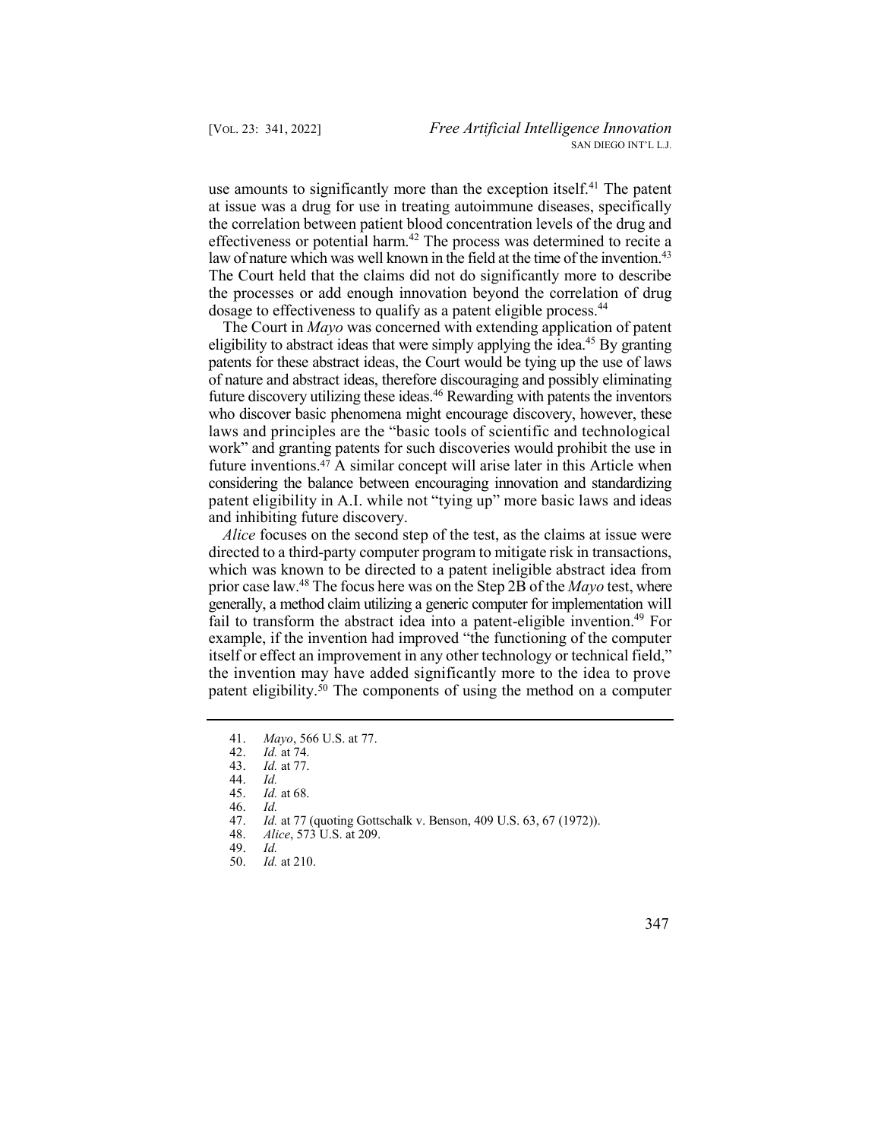use amounts to significantly more than the exception itself.<sup>41</sup> The patent law of nature which was well known in the field at the time of the invention.<sup>43</sup> The Court held that the claims did not do significantly more to describe at issue was a drug for use in treating autoimmune diseases, specifically the correlation between patient blood concentration levels of the drug and effectiveness or potential harm.<sup>42</sup> The process was determined to recite a the processes or add enough innovation beyond the correlation of drug dosage to effectiveness to qualify as a patent eligible process.<sup>44</sup>

eligibility to abstract ideas that were simply applying the idea.<sup>45</sup> By granting future discovery utilizing these ideas.<sup>46</sup> Rewarding with patents the inventors future [inventions.47](https://inventions.47) A similar concept will arise later in this Article when The Court in *Mayo* was concerned with extending application of patent patents for these abstract ideas, the Court would be tying up the use of laws of nature and abstract ideas, therefore discouraging and possibly eliminating who discover basic phenomena might encourage discovery, however, these laws and principles are the "basic tools of scientific and technological work" and granting patents for such discoveries would prohibit the use in considering the balance between encouraging innovation and standardizing patent eligibility in A.I. while not "tying up" more basic laws and ideas and inhibiting future discovery.

 *Alice* focuses on the second step of the test, as the claims at issue were prior case law.48 The focus here was on the Step 2B of the *Mayo* test, where fail to transform the abstract idea into a patent-eligible invention.<sup>49</sup> For patent eligibility.<sup>50</sup> The components of using the method on a computer directed to a third-party computer program to mitigate risk in transactions, which was known to be directed to a patent ineligible abstract idea from generally, a method claim utilizing a generic computer for implementation will example, if the invention had improved "the functioning of the computer itself or effect an improvement in any other technology or technical field," the invention may have added significantly more to the idea to prove

<sup>41.</sup> *Mayo*, 566 U.S. at 77.

<sup>42.</sup> *Id.* at 74.

<sup>43.</sup> *Id.* at 77.

<sup>44.</sup> *Id.* 

*Id.* at 68.

<sup>46.</sup> *Id.* 

 47. *Id.* at 77 (quoting Gottschalk v. Benson, 409 U.S. 63, 67 (1972)).

 48. *Alice*, 573 U.S. at 209.

<sup>49.</sup> *Id.* 

<sup>50.</sup> *Id.* at 210.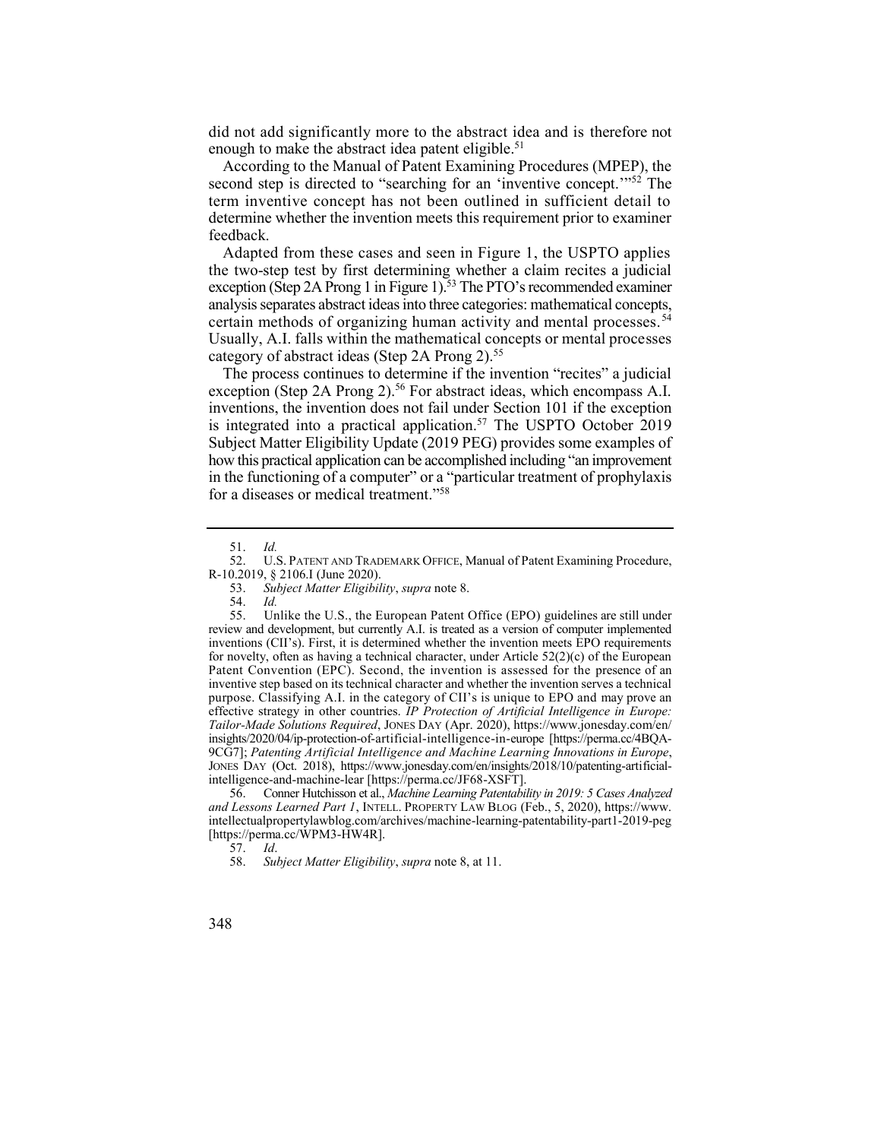did not add significantly more to the abstract idea and is therefore not enough to make the abstract idea patent eligible.<sup>51</sup>

second step is directed to "searching for an 'inventive concept."<sup>52</sup> The According to the Manual of Patent Examining Procedures (MPEP), the term inventive concept has not been outlined in sufficient detail to determine whether the invention meets this requirement prior to examiner feedback.

 Adapted from these cases and seen in Figure 1, the USPTO applies exception (Step 2A Prong 1 in Figure 1).<sup>53</sup> The PTO's recommended examiner certain methods of organizing human activity and mental processes.<sup>54</sup> Usually, A.I. falls within the mathematical concepts or mental processes category of abstract ideas (Step 2A Prong 2).<sup>55</sup> the two-step test by first determining whether a claim recites a judicial analysis separates abstract ideas into three categories: mathematical concepts,

exception (Step 2A Prong 2).<sup>56</sup> For abstract ideas, which encompass A.I. is integrated into a practical application.<sup>57</sup> The USPTO October 2019 The process continues to determine if the invention "recites" a judicial inventions, the invention does not fail under Section 101 if the exception Subject Matter Eligibility Update (2019 PEG) provides some examples of how this practical application can be accomplished including "an improvement in the functioning of a computer" or a "particular treatment of prophylaxis for a diseases or medical treatment."<sup>58</sup>

 55. Unlike the U.S., the European Patent Office (EPO) guidelines are still under *Tailor-Made Solutions Required*, JONES DAY (Apr. 2020), <https://www.jonesday.com/en>/ JONES DAY (Oct. 2018), <https://www.jonesday.com/en/insights/2018/10/patenting-artificial>-54. *Id.*  review and development, but currently A.I. is treated as a version of computer implemented inventions (CII's). First, it is determined whether the invention meets EPO requirements for novelty, often as having a technical character, under Article 52(2)(c) of the European Patent Convention (EPC). Second, the invention is assessed for the presence of an inventive step based on its technical character and whether the invention serves a technical purpose. Classifying A.I. in the category of CII's is unique to EPO and may prove an effective strategy in other countries. *IP Protection of Artificial Intelligence in Europe:*  insights/2020/04/ip-protection-of-artificial-intelligence-in-europe [<https://perma.cc/4BQA>-9CG7]; *Patenting Artificial Intelligence and Machine Learning Innovations in Europe*, intelligence-and-machine-lear [\[https://perma.cc/JF68-XSFT\]](https://perma.cc/JF68-XSFT).

 56. Conner Hutchisson et al., *Machine Learning Patentability in 2019: 5 Cases Analyzed and Lessons Learned Part 1*, INTELL. PROPERTY LAW BLOG (Feb., 5, 2020), [https://www.](https://www) [intellectualpropertylawblog.com/archives/machine-learning-patentability-part1-2019-peg](https://intellectualpropertylawblog.com/archives/machine-learning-patentability-part1-2019-peg)  [[https://perma.cc/WPM3-HW4R\]](https://perma.cc/WPM3-HW4R).

57. *Id*.

58. *Subject Matter Eligibility*, *supra* note 8, at 11.

<sup>51.</sup> *Id.* 

 52. U.S. PATENT AND TRADEMARK OFFICE, Manual of Patent Examining Procedure, R-10.2019, § 2106.I (June 2020).

<sup>53.</sup> *Subject Matter Eligibility*, *supra* note 8.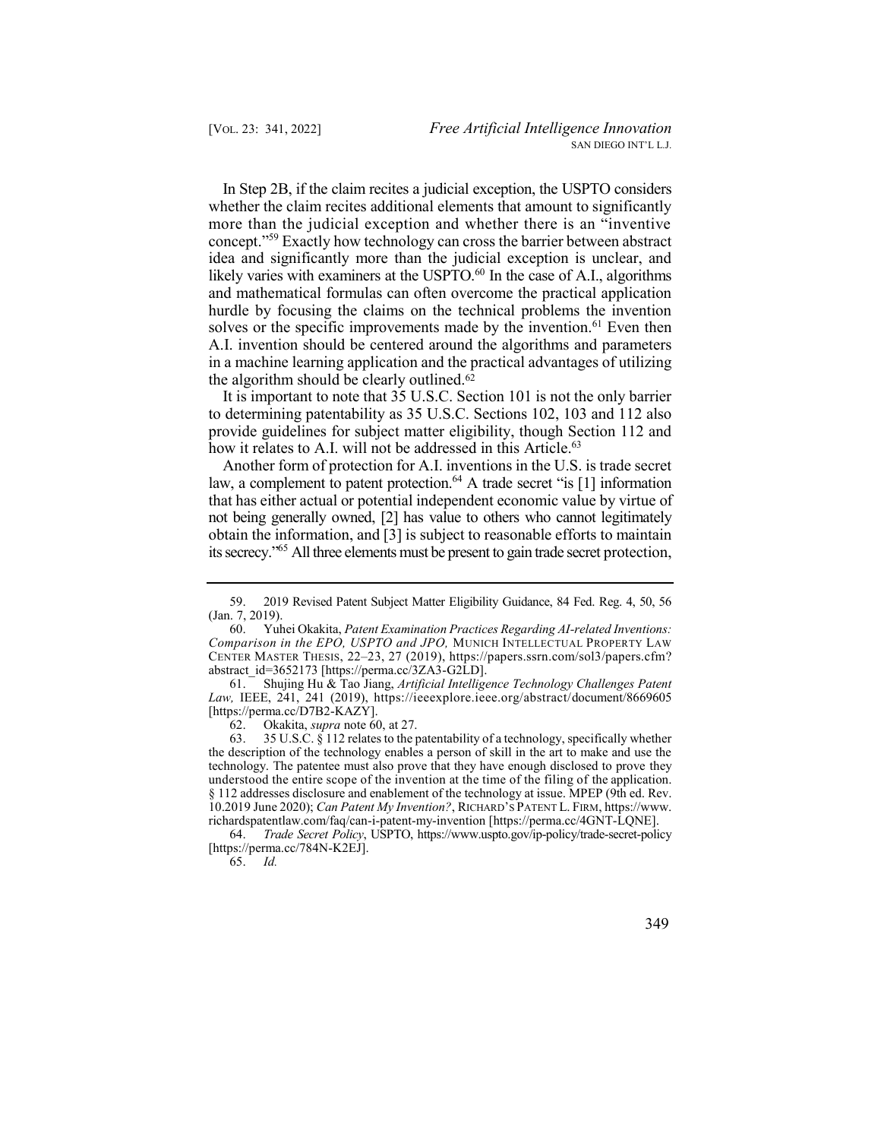concept."59 Exactly how technology can cross the barrier between abstract likely varies with examiners at the USPTO. $^{60}$  In the case of A.I., algorithms solves or the specific improvements made by the invention.<sup>61</sup> Even then In Step 2B, if the claim recites a judicial exception, the USPTO considers whether the claim recites additional elements that amount to significantly more than the judicial exception and whether there is an "inventive idea and significantly more than the judicial exception is unclear, and and mathematical formulas can often overcome the practical application hurdle by focusing the claims on the technical problems the invention A.I. invention should be centered around the algorithms and parameters in a machine learning application and the practical advantages of utilizing the algorithm should be clearly [outlined.62](https://outlined.62)

 It is important to note that 35 U.S.C. Section 101 is not the only barrier how it relates to A.I. will not be addressed in this Article.<sup>63</sup> to determining patentability as 35 U.S.C. Sections 102, 103 and 112 also provide guidelines for subject matter eligibility, though Section 112 and

law, a complement to patent protection.<sup>64</sup> A trade secret "is [1] information its secrecy."<sup>65</sup> All three elements must be present to gain trade secret protection, Another form of protection for A.I. inventions in the U.S. is trade secret that has either actual or potential independent economic value by virtue of not being generally owned, [2] has value to others who cannot legitimately obtain the information, and [3] is subject to reasonable efforts to maintain

62. Okakita, *supra* note 60, at 27.

 63. 35 U.S.C. § 112 relates to the patentability of a technology, specifically whether  10.2019 June 2020); *Can Patent My Invention?*, RICHARD'S PATENT L. FIRM, [https://www.](https://www) the description of the technology enables a person of skill in the art to make and use the technology. The patentee must also prove that they have enough disclosed to prove they understood the entire scope of the invention at the time of the filing of the application. § 112 addresses disclosure and enablement of the technology at issue. MPEP (9th ed. Rev. [richardspatentlaw.com/faq/can-i-patent-my-invention](https://richardspatentlaw.com/faq/can-i-patent-my-invention) [<https://perma.cc/4GNT-LQNE>].

 64. *Trade Secret Policy*, USPTO,<https://www.uspto.gov/ip-policy/trade-secret-policy> [<https://perma.cc/784N-K2EJ>].<br>65.  $Id$ .

65. *Id.* 

 59. 2019 Revised Patent Subject Matter Eligibility Guidance, 84 Fed. Reg. 4, 50, 56 (Jan. 7, 2019).

 60. Yuhei Okakita, *Patent Examination Practices Regarding AI-related Inventions:*  CENTER MASTER THESIS, 22–23, 27 (2019), <https://papers.ssrn.com/sol3/papers.cfm>? *Comparison in the EPO, USPTO and JPO,* MUNICH INTELLECTUAL PROPERTY LAW abstract\_id=3652173 [\[https://perma.cc/3ZA3-G2LD](https://perma.cc/3ZA3-G2LD)].

 61. Shujing Hu & Tao Jiang, *Artificial Intelligence Technology Challenges Patent Law,* IEEE, 241, 241 (2019), <https://ieeexplore.ieee.org/abstract/document/8669605> [[https://perma.cc/D7B2-KAZY\]](https://perma.cc/D7B2-KAZY).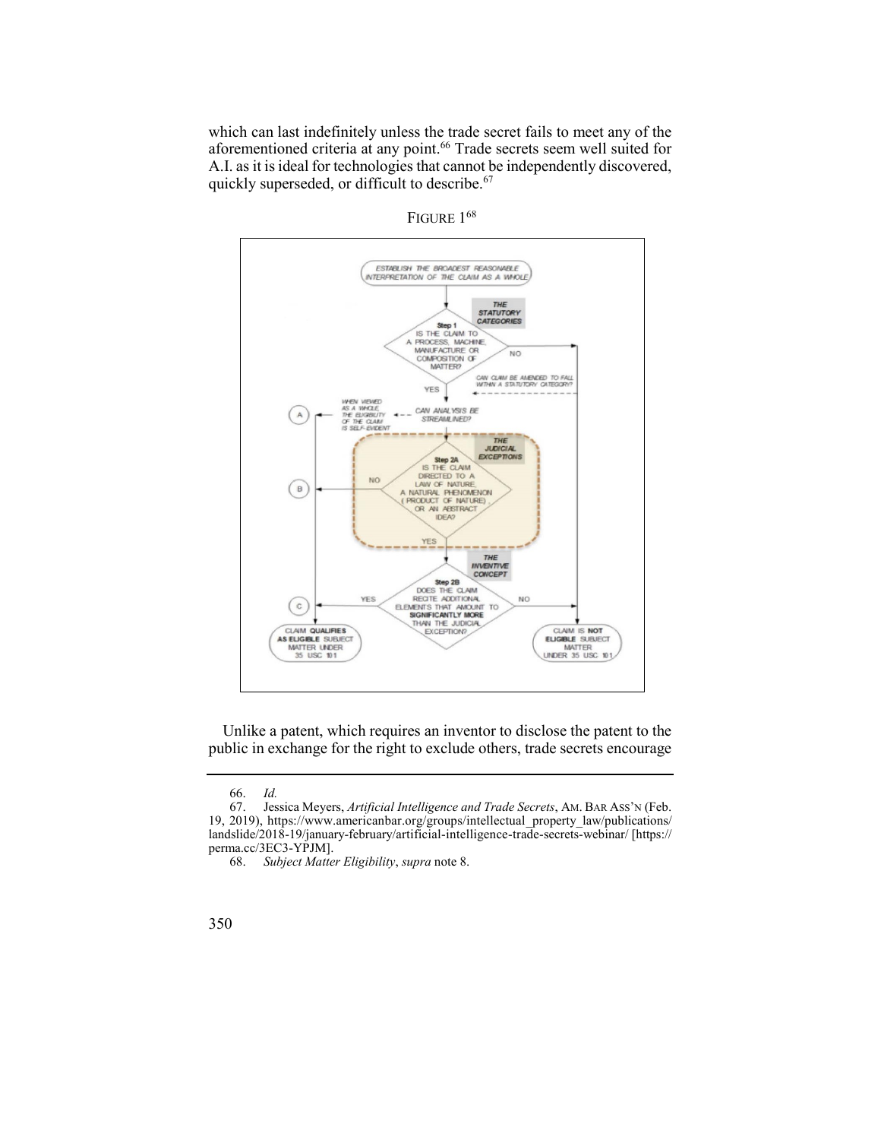aforementioned criteria at any point.<sup>66</sup> Trade secrets seem well suited for which can last indefinitely unless the trade secret fails to meet any of the A.I. as it is ideal for technologies that cannot be independently discovered, quickly superseded, or difficult to describe.<sup>67</sup>





 Unlike a patent, which requires an inventor to disclose the patent to the public in exchange for the right to exclude others, trade secrets encourage

 67. Jessica Meyers, *Artificial Intelligence and Trade Secrets*, AM. BAR ASS'N (Feb. 19, 2019), [https://www.americanbar.org/groups/intellectual\\_property\\_law/publications/](https://www.americanbar.org/groups/intellectual_property_law/publications) 66. *Id.*  landslide/2018-19/january-february/artificial-intelligence-trade-secrets-webinar/ [https:// perma.cc/3EC3-YPJM].<br>68. Subject Matter

<sup>68.</sup> *Subject Matter Eligibility*, *supra* note 8.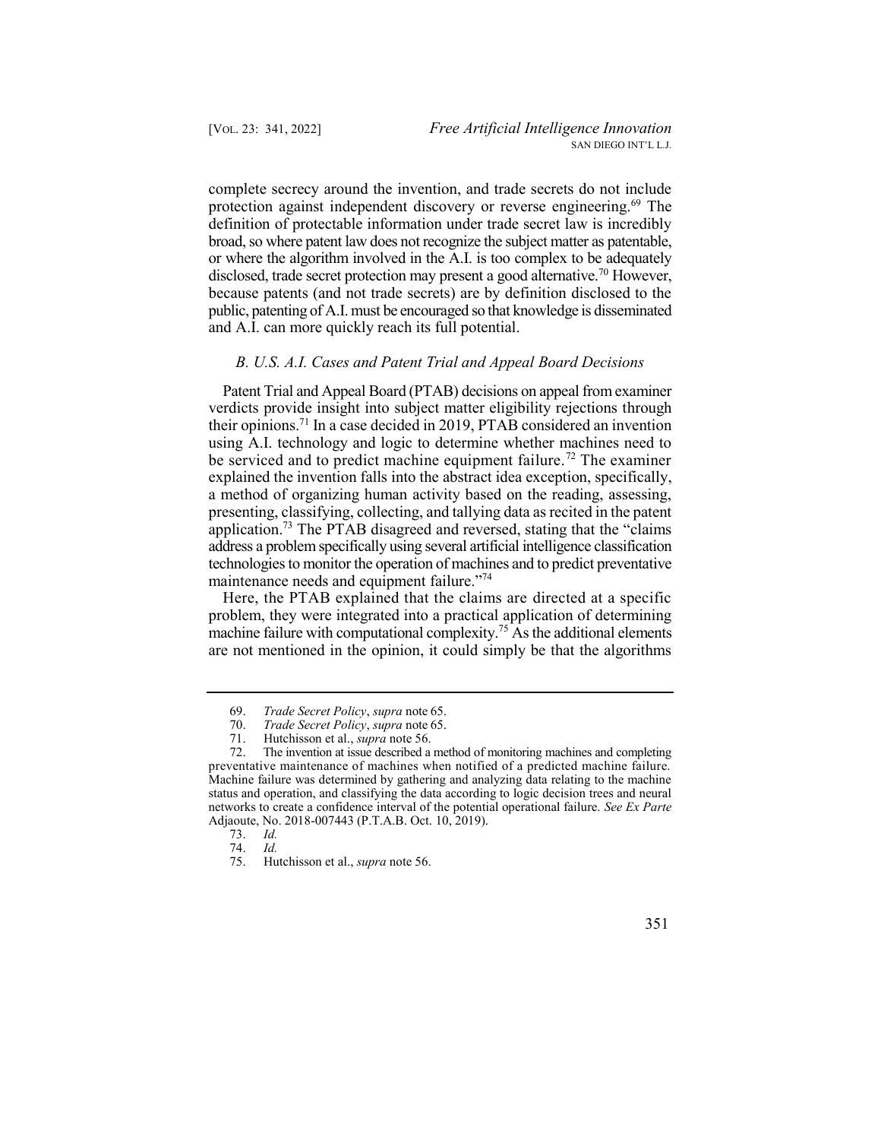protection against independent discovery or reverse engineering.<sup>69</sup> The disclosed, trade secret protection may present a good alternative.<sup>70</sup> However, complete secrecy around the invention, and trade secrets do not include definition of protectable information under trade secret law is incredibly broad, so where patent law does not recognize the subject matter as patentable, or where the algorithm involved in the A.I. is too complex to be adequately because patents (and not trade secrets) are by definition disclosed to the public, patenting of A.I. must be encouraged so that knowledge is disseminated and A.I. can more quickly reach its full potential.

## *B. U.S. A.I. Cases and Patent Trial and Appeal Board Decisions*

 Patent Trial and Appeal Board (PTAB) decisions on appeal from examiner their [opinions.71](https://opinions.71) In a case decided in 2019, PTAB considered an invention be serviced and to predict machine equipment failure.<sup>72</sup> The examiner application.<sup>73</sup> The PTAB disagreed and reversed, stating that the "claims verdicts provide insight into subject matter eligibility rejections through using A.I. technology and logic to determine whether machines need to explained the invention falls into the abstract idea exception, specifically, a method of organizing human activity based on the reading, assessing, presenting, classifying, collecting, and tallying data as recited in the patent address a problem specifically using several artificial intelligence classification technologies to monitor the operation of machines and to predict preventative maintenance needs and equipment failure."74

 Here, the PTAB explained that the claims are directed at a specific machine failure with computational complexity.<sup>75</sup> As the additional elements problem, they were integrated into a practical application of determining are not mentioned in the opinion, it could simply be that the algorithms



<sup>69.</sup> *Trade Secret Policy*, *supra* note 65.

<sup>70.</sup> *Trade Secret Policy*, *supra* note 65.

 71. Hutchisson et al., *supra* note 56.

 72. The invention at issue described a method of monitoring machines and completing preventative maintenance of machines when notified of a predicted machine failure. Machine failure was determined by gathering and analyzing data relating to the machine status and operation, and classifying the data according to logic decision trees and neural networks to create a confidence interval of the potential operational failure. *See Ex Parte*  Adjaoute, No. 2018-007443 (P.T.A.B. Oct. 10, 2019).

<sup>73.</sup> *Id.* 

<sup>74.</sup> *Id.* 

 75. Hutchisson et al., *supra* note 56.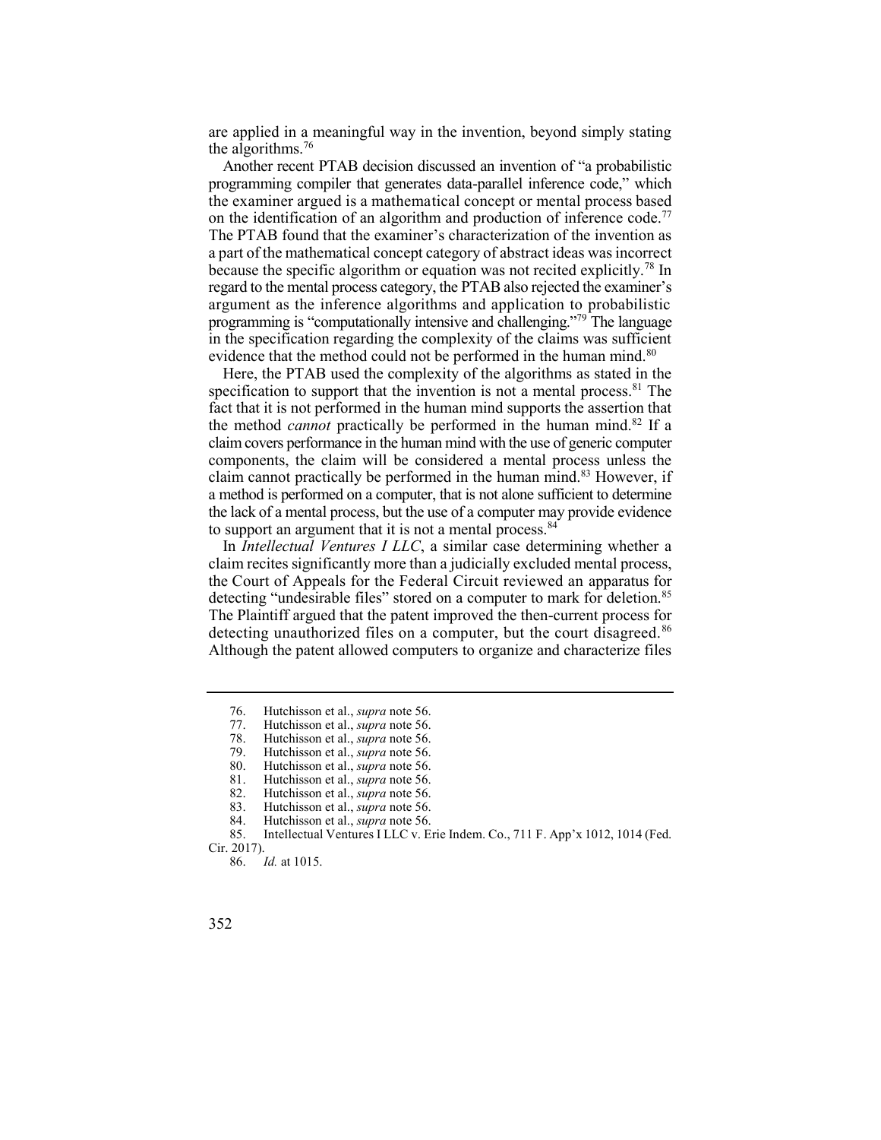are applied in a meaningful way in the invention, beyond simply stating the algorithms.<sup>76</sup>

 Another recent PTAB decision discussed an invention of "a probabilistic programming compiler that generates data-parallel inference code," which the examiner argued is a mathematical concept or mental process based The PTAB found that the examiner's characterization of the invention as because the specific algorithm or equation was not recited explicitly.<sup>78</sup> In on the identification of an algorithm and production of inference code.<sup>77</sup> a part of the mathematical concept category of abstract ideas was incorrect regard to the mental process category, the PTAB also rejected the examiner's argument as the inference algorithms and application to probabilistic programming is "computationally intensive and challenging."79 The language in the specification regarding the complexity of the claims was sufficient evidence that the method could not be performed in the human mind.<sup>80</sup>

specification to support that the invention is not a mental process.<sup>81</sup> The claim cannot practically be performed in the human mind.<sup>83</sup> However, if Here, the PTAB used the complexity of the algorithms as stated in the fact that it is not performed in the human mind supports the assertion that the method *cannot* practically be performed in the human mind.<sup>82</sup> If a claim covers performance in the human mind with the use of generic computer components, the claim will be considered a mental process unless the a method is performed on a computer, that is not alone sufficient to determine the lack of a mental process, but the use of a computer may provide evidence to support an argument that it is not a mental process.<sup>84</sup>

 In *Intellectual Ventures I LLC*, a similar case determining whether a detecting "undesirable files" stored on a computer to mark for [deletion.](https://deletion.85)<sup>85</sup> detecting unauthorized files on a computer, but the court disagreed.<sup>86</sup> claim recites significantly more than a judicially excluded mental process, the Court of Appeals for the Federal Circuit reviewed an apparatus for The Plaintiff argued that the patent improved the then-current process for Although the patent allowed computers to organize and characterize files

 76. Hutchisson et al., *supra* note 56.

 77. Hutchisson et al., *supra* note 56.

 78. Hutchisson et al., *supra* note 56.

 79. Hutchisson et al., *supra* note 56.

 80. Hutchisson et al., *supra* note 56.

 81. Hutchisson et al., *supra* note 56.

 82. Hutchisson et al., *supra* note 56. 83. Hutchisson et al., *supra* note 56.

<sup>84.</sup> Hutchisson et al., *supra* note 56.

 85. Intellectual Ventures I LLC v. Erie Indem. Co., 711 F. App'x 1012, 1014 (Fed. Cir. 2017).

<sup>86.</sup> *Id.* at 1015.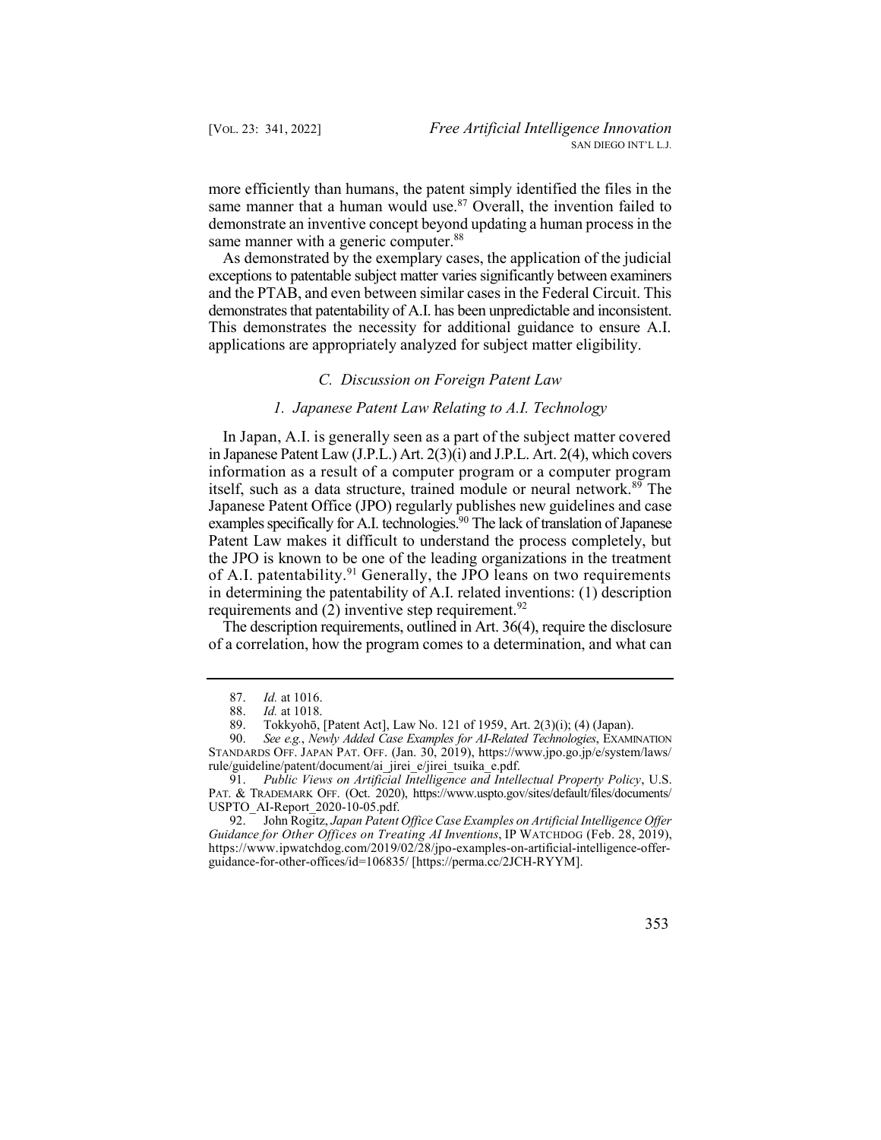same manner that a human would use. $87$  Overall, the invention failed to more efficiently than humans, the patent simply identified the files in the demonstrate an inventive concept beyond updating a human process in the same manner with a generic computer.<sup>88</sup>

 As demonstrated by the exemplary cases, the application of the judicial exceptions to patentable subject matter varies significantly between examiners and the PTAB, and even between similar cases in the Federal Circuit. This demonstrates that patentability of A.I. has been unpredictable and inconsistent. This demonstrates the necessity for additional guidance to ensure A.I. applications are appropriately analyzed for subject matter eligibility.

# *C. Discussion on Foreign Patent Law*

# *1. Japanese Patent Law Relating to A.I. Technology*

 In Japan, A.I. is generally seen as a part of the subject matter covered in Japanese Patent Law (J.P.L.) Art. 2(3)(i) and J.P.L. Art. 2(4), which covers itself, such as a data structure, trained module or neural network.<sup>89</sup> The examples specifically for A.I. technologies.<sup>90</sup> The lack of translation of Japanese information as a result of a computer program or a computer program Japanese Patent Office (JPO) regularly publishes new guidelines and case Patent Law makes it difficult to understand the process completely, but the JPO is known to be one of the leading organizations in the treatment of A.I. patentability.<sup>91</sup> Generally, the JPO leans on two requirements in determining the patentability of A.I. related inventions: (1) description requirements and  $(2)$  inventive step requirement.<sup>92</sup>

 The description requirements, outlined in Art. 36(4), require the disclosure of a correlation, how the program comes to a determination, and what can

 92. John Rogitz, *Japan Patent Office Case Examples on Artificial Intelligence Offer Guidance for Other Offices on Treating AI Inventions*, IP WATCHDOG (Feb. 28, 2019), <https://www.ipwatchdog.com/2019/02/28/jpo-examples-on-artificial-intelligence-offer>guidance-for-other-offices/id=106835/ [\[https://perma.cc/2JCH-RYYM](https://perma.cc/2JCH-RYYM)].



<sup>87.</sup> *Id.* at 1016.

<sup>88.</sup> *Id.* at 1018.

 89. Tokkyohō, [Patent Act], Law No. 121 of 1959, Art. 2(3)(i); (4) (Japan).

 90. *See e.g.*, *Newly Added Case Examples for AI-Related Technologies*, EXAMINATION STANDARDS OFF. JAPAN PAT. OFF. (Jan. 30, 2019), <https://www.jpo.go.jp/e/system/laws>/ rule/guideline/patent/document/ai\_jirei\_e/jirei\_tsuika\_e.pdf.

 91. *Public Views on Artificial Intelligence and Intellectual Property Policy*, U.S. PAT. & TRADEMARK OFF. (Oct. 2020), [https://www.uspto.gov/sites/default/files/documents/](https://www.uspto.gov/sites/default/files/documents) USPTO\_AI-Report\_2020-10-05.pdf.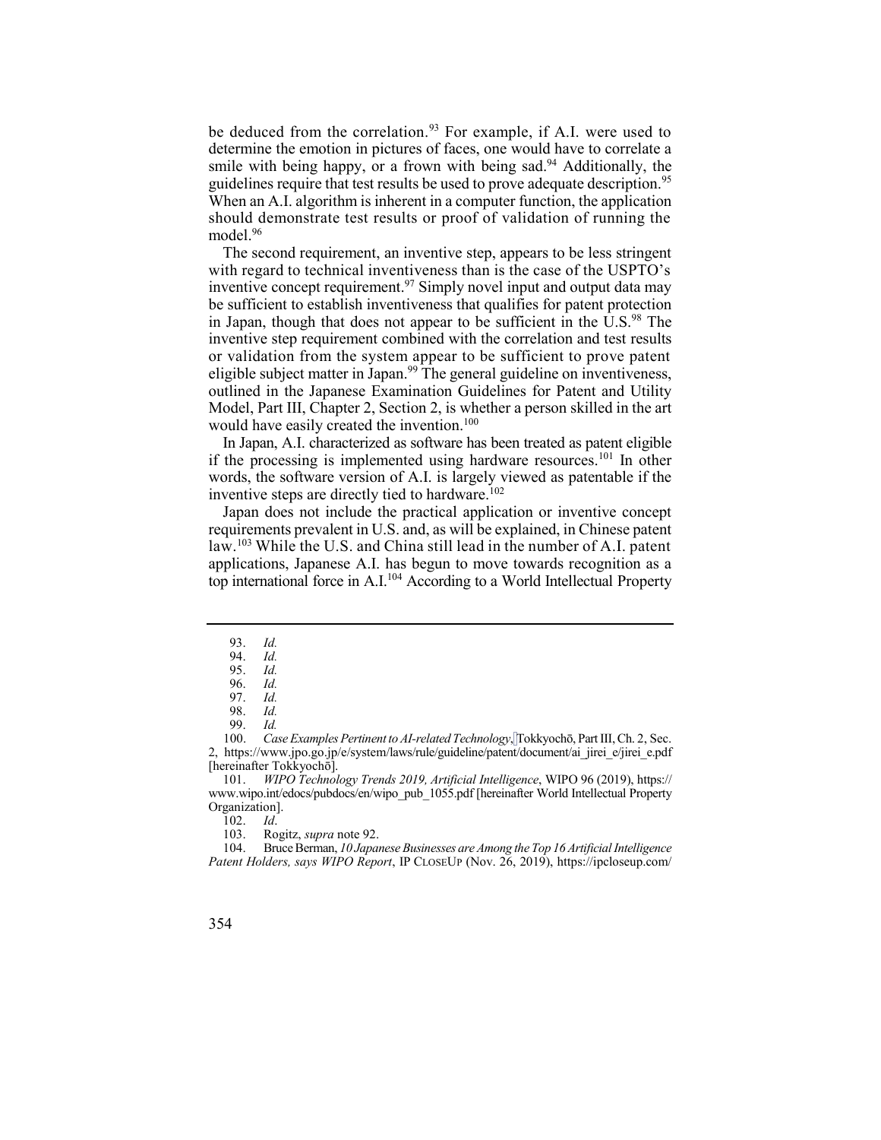be deduced from the correlation.<sup>93</sup> For example, if A.I. were used to smile with being happy, or a frown with being sad.<sup>94</sup> Additionally, the guidelines require that test results be used to prove adequate description.<sup>95</sup> When an A.I. algorithm is inherent in a computer function, the application should demonstrate test results or proof of validation of running the determine the emotion in pictures of faces, one would have to correlate a model.<sup>96</sup>

 with regard to technical inventiveness than is the case of the USPTO's inventive concept requirement.<sup>97</sup> Simply novel input and output data may in Japan, though that does not appear to be sufficient in the U.S.<sup>98</sup> The eligible subject matter in Japan.<sup>99</sup> The general guideline on inventiveness, The second requirement, an inventive step, appears to be less stringent be sufficient to establish inventiveness that qualifies for patent protection inventive step requirement combined with the correlation and test results or validation from the system appear to be sufficient to prove patent outlined in the Japanese Examination Guidelines for Patent and Utility Model, Part III, Chapter 2, Section 2, is whether a person skilled in the art would have easily created the invention.<sup>100</sup>

In Japan, A.I. characterized as software has been treated as patent eligible if the processing is implemented using hardware resources. 101 In other words, the software version of A.I. is largely viewed as patentable if the inventive steps are directly tied to hardware.<sup>102</sup>

 Japan does not include the practical application or inventive concept law.<sup>103</sup> While the U.S. and China still lead in the number of A.I. patent top international force in A.I.<sup>104</sup> According to a World Intellectual Property requirements prevalent in U.S. and, as will be explained, in Chinese patent applications, Japanese A.I. has begun to move towards recognition as a

93. *Id.* 

 104. Bruce Berman, *10 Japanese Businesses are Among the Top 16 Artificial Intelligence Patent Holders, says WIPO Report*, IP CLOSEUP (Nov. 26, 2019), [https://ipcloseup.com/](https://ipcloseup.com/2019/11/26/10-japanese-businesses-are-among-the-top-16-artificial-intelligence-patent-holders-says-wipo-report/) 



<sup>94.</sup> *Id.* 

<sup>95.</sup> *Id.* 

<sup>96.</sup> *Id.*  97. *Id.* 

<sup>98.</sup> *Id.* 

<sup>100.</sup> Case Examples Pertinent to AI-related Technology, Tokkyochō, Part III, Ch. 2, Sec. 99. *Id.*  2, [https://www.jpo.go.jp/e/system/laws/rule/guideline/patent/document/ai\\_jirei\\_e/jirei\\_e.pdf](https://www.jpo.go.jp/e/system/laws/rule/guideline/patent/document/ai_jirei_e/jirei_e.pdf) [hereinafter Tokkyochō].

 101. *WIPO Technology Trends 2019, Artificial Intelligence*, WIPO 96 (2019), https:// [www.wipo.int/edocs/pubdocs/en/wipo\\_pub\\_1055.pdf](www.wipo.int/edocs/pubdocs/en/wipo_pub_1055.pdf) [hereinafter World Intellectual Property Organization].

<sup>102.</sup> *Id*.

<sup>103.</sup> Rogitz, *supra* note 92.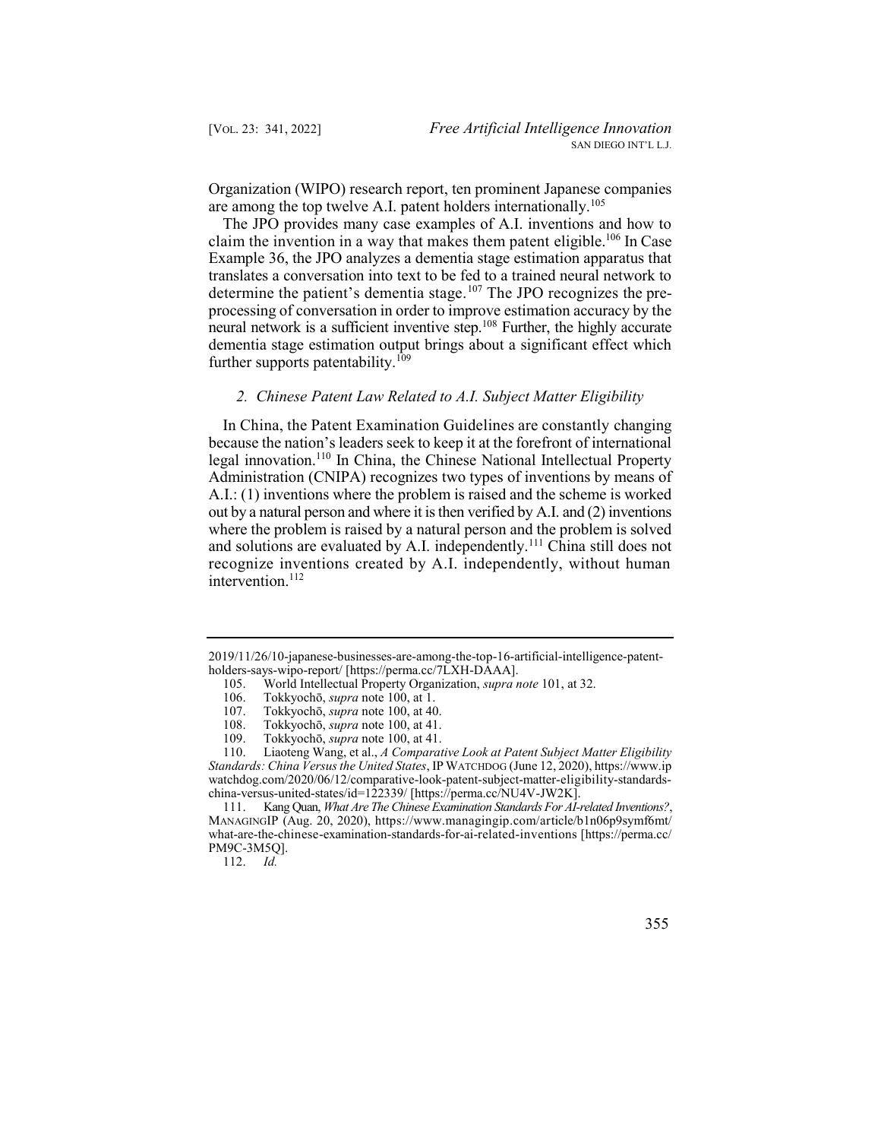Organization (WIPO) research report, ten prominent Japanese companies are among the top twelve A.I. patent holders internationally.<sup>105</sup>

determine the patient's dementia stage.<sup>107</sup> The JPO recognizes the preneural network is a sufficient inventive step.<sup>108</sup> Further, the highly accurate The JPO provides many case examples of A.I. inventions and how to claim the invention in a way that makes them patent eligible.<sup>106</sup> In Case Example 36, the JPO analyzes a dementia stage estimation apparatus that translates a conversation into text to be fed to a trained neural network to processing of conversation in order to improve estimation accuracy by the dementia stage estimation output brings about a significant effect which further supports patentability.<sup>109</sup>

## *2. Chinese Patent Law Related to A.I. Subject Matter Eligibility*

 In China, the Patent Examination Guidelines are constantly changing because the nation's leaders seek to keep it at the forefront of international legal innovation.<sup>110</sup> In China, the Chinese National Intellectual Property and solutions are evaluated by A.I. independently.<sup>111</sup> China still does not Administration (CNIPA) recognizes two types of inventions by means of A.I.: (1) inventions where the problem is raised and the scheme is worked out by a natural person and where it is then verified by A.I. and (2) inventions where the problem is raised by a natural person and the problem is solved recognize inventions created by A.I. independently, without human intervention.<sup>112</sup>

112. *Id.* 

[<sup>2019/11/26/10-</sup>japanese-businesses-are-among-the-top-16-artificial-intelligence-patent](https://ipcloseup.com/2019/11/26/10-japanese-businesses-are-among-the-top-16-artificial-intelligence-patent-holders-says-wipo-report/)[holders-says-wipo-report/](https://ipcloseup.com/2019/11/26/10-japanese-businesses-are-among-the-top-16-artificial-intelligence-patent-holders-says-wipo-report/) [\[https://perma.cc/7LXH-DAAA](https://perma.cc/7LXH-DAAA)].

<sup>105.</sup> World Intellectual Property Organization, *supra note* 101, at 32.

<sup>106.</sup> Tokkyochō, *supra* note 100, at 1.

<sup>107.</sup> Tokkyochō, *supra* note 100, at 40.

<sup>108.</sup> Tokkyochō, *supra* note 100, at 41.

<sup>109.</sup> Tokkyochō, *supra* note 100, at 41.

 110. Liaoteng Wang, et al., *A Comparative Look at Patent Subject Matter Eligibility Standards: China Versus the United States*, IP WATCHDOG (June 12, 2020),<https://www.ip> [watchdog.com/2020/06/12/comparative-look-patent-subject-matter-eligibility-standards](https://watchdog.com/2020/06/12/comparative-look-patent-subject-matter-eligibility-standards)china-versus-united-states/id=122339/ [\[https://perma.cc/NU4V-JW2K\]](https://perma.cc/NU4V-JW2K).

 111. Kang Quan, *What Are The Chinese Examination Standards For AI-related Inventions?*, MANAGINGIP (Aug. 20, 2020), [https://www.managingip.com/article/b1n06p9symf6mt/](https://www.managingip.com/article/b1n06p9symf6mt) what-are-the-chinese-examination-standards-for-ai-related-inventions [<https://perma.cc>/ PM9C-3M5Q].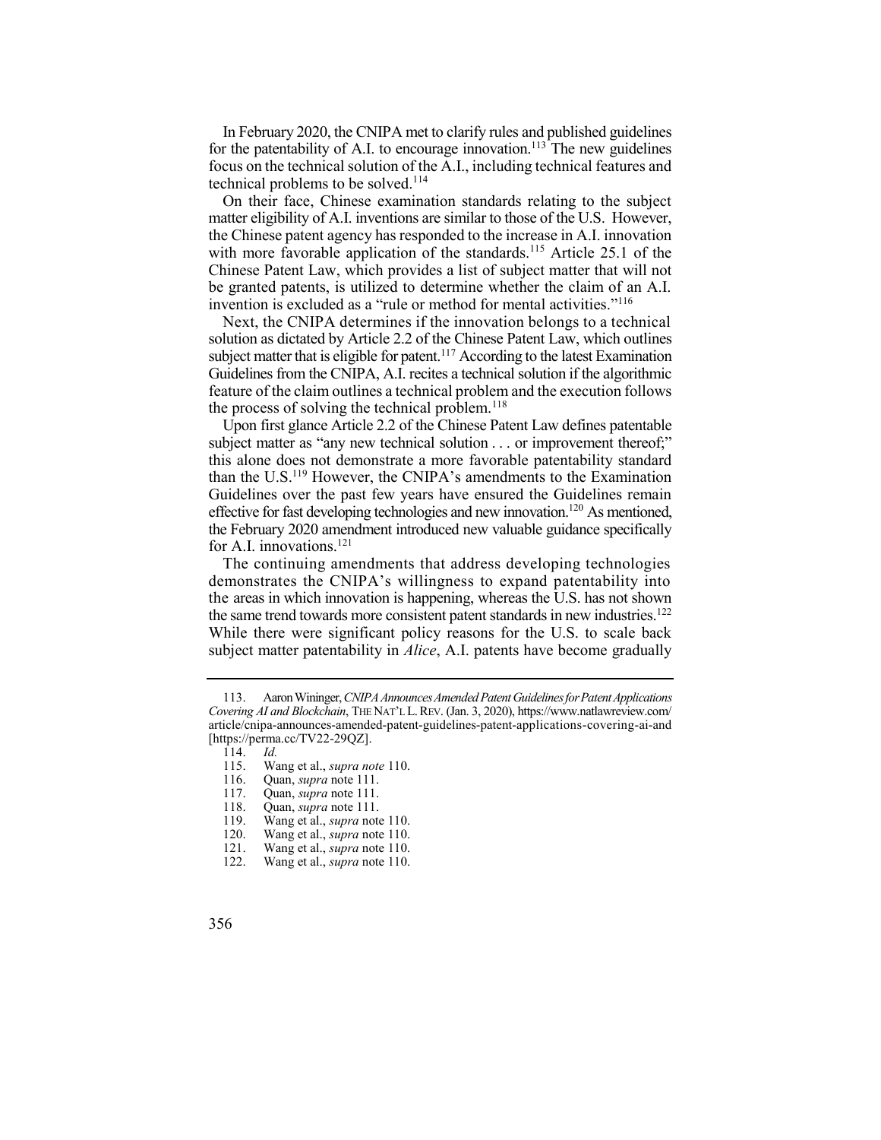for the patentability of A.I. to encourage innovation.<sup>113</sup> The new guidelines In February 2020, the CNIPA met to clarify rules and published guidelines focus on the technical solution of the A.I., including technical features and technical problems to be solved.<sup>114</sup>

with more favorable application of the standards.<sup>115</sup> Article 25.1 of the On their face, Chinese examination standards relating to the subject matter eligibility of A.I. inventions are similar to those of the U.S. However, the Chinese patent agency has responded to the increase in A.I. innovation Chinese Patent Law, which provides a list of subject matter that will not be granted patents, is utilized to determine whether the claim of an A.I. invention is excluded as a "rule or method for mental activities."<sup>116</sup>

 Next, the CNIPA determines if the innovation belongs to a technical subject matter that is eligible for patent.<sup>117</sup> According to the latest Examination solution as dictated by Article 2.2 of the Chinese Patent Law, which outlines Guidelines from the CNIPA, A.I. recites a technical solution if the algorithmic feature of the claim outlines a technical problem and the execution follows the process of solving the technical problem.<sup>118</sup>

 Upon first glance Article 2.2 of the Chinese Patent Law defines patentable the February 2020 amendment introduced new valuable guidance specifically subject matter as "any new technical solution . . . or improvement thereof;" this alone does not demonstrate a more favorable patentability standard than the U.S.119 However, the CNIPA's amendments to the Examination Guidelines over the past few years have ensured the Guidelines remain effective for fast developing technologies and new innovation.<sup>120</sup> As mentioned, for A.I. innovations.<sup>121</sup>

 The continuing amendments that address developing technologies demonstrates the CNIPA's willingness to expand patentability into the areas in which innovation is happening, whereas the U.S. has not shown the same trend towards more consistent patent standards in new industries.<sup>122</sup> While there were significant policy reasons for the U.S. to scale back subject matter patentability in *Alice*, A.I. patents have become gradually

<sup>113.</sup> Aaron Wininger, *CNIPA Announces Amended Patent Guidelines for Patent Applications Covering AI and Blockchain*, THE NAT'L L. REV. (Jan. 3, 2020), [https://www.natlawreview.com/](https://www.natlawreview.com) article/cnipa-announces-amended-patent-guidelines-patent-applications-covering-ai-and [<https://perma.cc/TV22-29QZ>].

<sup>114.</sup> *Id.* 

 115. Wang et al., *supra note* 110.

<sup>116.</sup> Quan, *supra* note 111.

<sup>117.</sup> Quan, *supra* note 111.

<sup>118.</sup> Quan, *supra* note 111.

 119. Wang et al., *supra* note 110.

 120. Wang et al., *supra* note 110.

 121. Wang et al., *supra* note 110.

 122. Wang et al., *supra* note 110.

<sup>356</sup>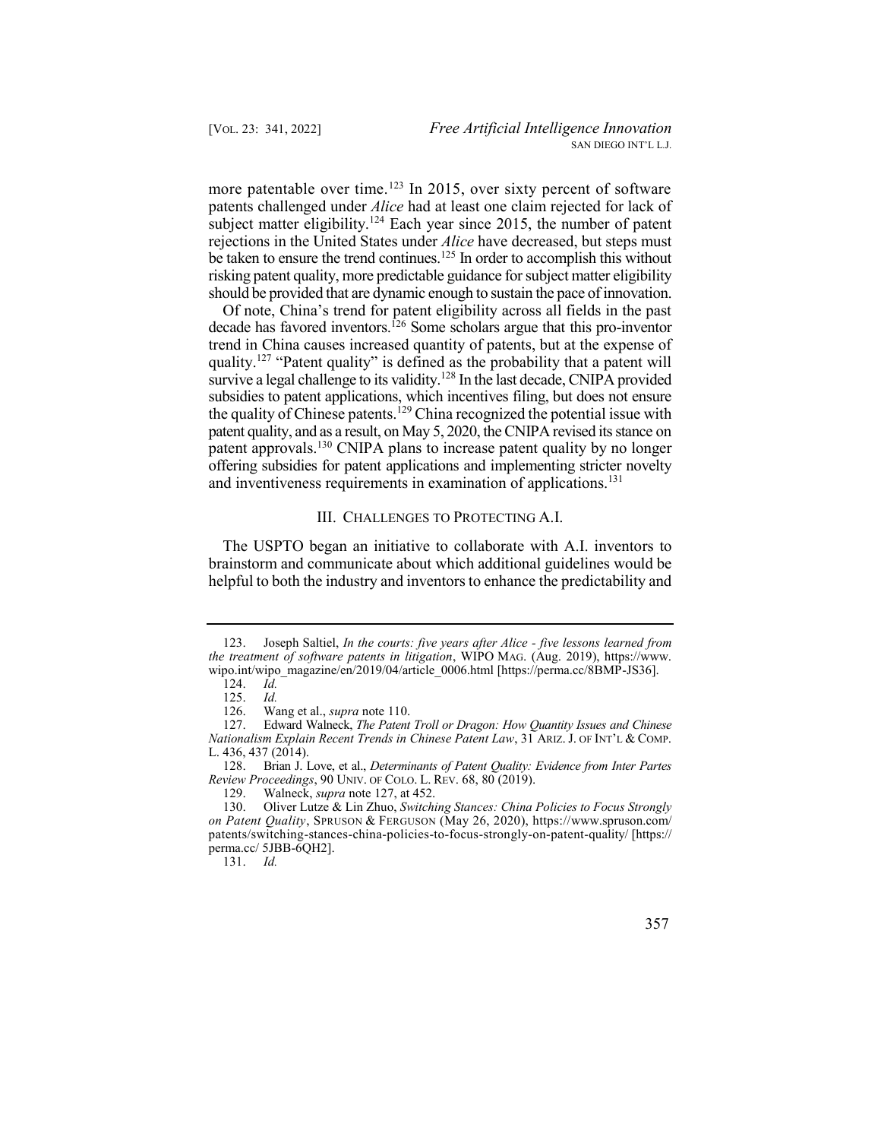more patentable over time.<sup>123</sup> In 2015, over sixty percent of software subject matter eligibility.<sup>124</sup> Each year since 2015, the number of patent be taken to ensure the trend continues.<sup>125</sup> In order to accomplish this without patents challenged under *Alice* had at least one claim rejected for lack of rejections in the United States under *Alice* have decreased, but steps must risking patent quality, more predictable guidance for subject matter eligibility should be provided that are dynamic enough to sustain the pace of innovation.

decade has favored inventors.<sup>126</sup> Some scholars argue that this pro-inventor survive a legal challenge to its validity.<sup>128</sup> In the last decade, CNIPA provided the quality of Chinese patents.<sup>129</sup> China recognized the potential issue with patent approvals.<sup>130</sup> CNIPA plans to increase patent quality by no longer Of note, China's trend for patent eligibility across all fields in the past trend in China causes increased quantity of patents, but at the expense of quality.<sup>127</sup> "Patent quality" is defined as the probability that a patent will subsidies to patent applications, which incentives filing, but does not ensure patent quality, and as a result, on May 5, 2020, the CNIPA revised its stance on offering subsidies for patent applications and implementing stricter novelty and inventiveness requirements in examination of applications.<sup>131</sup>

## III. CHALLENGES TO PROTECTING A.I.

 The USPTO began an initiative to collaborate with A.I. inventors to brainstorm and communicate about which additional guidelines would be helpful to both the industry and inventors to enhance the predictability and

131. *Id.* 

 123. Joseph Saltiel, *In the courts: five years after Alice - five lessons learned from the treatment of software patents in litigation*, WIPO MAG. (Aug. 2019), [https://www.](https://www) wipo.int/wipo\_magazine/en/2019/04/article\_0006.html [<https://perma.cc/8BMP-JS36>].<br>124. *Id.* 

<sup>124.</sup> *Id.* 

<sup>125.</sup> *Id.* 

 126. Wang et al., *supra* note 110.

 127. Edward Walneck, *The Patent Troll or Dragon: How Quantity Issues and Chinese Nationalism Explain Recent Trends in Chinese Patent Law*, 31 ARIZ. J. OF INT'L & COMP. L. 436, 437 (2014).

 128. Brian J. Love, et al., *Determinants of Patent Quality: Evidence from Inter Partes Review Proceedings*, 90 UNIV. OF COLO. L. REV. 68, 80 (2019).

<sup>129.</sup> Walneck, *supra* note 127, at 452.

 130. Oliver Lutze & Lin Zhuo, *Switching Stances: China Policies to Focus Strongly on Patent Quality*, SPRUSON & FERGUSON (May 26, 2020), [https://www.spruson.com/](https://www.spruson.com) patents/switching-stances-china-policies-to-focus-strongly-on-patent-quality/ [https:// [perma.cc/](https://perma.cc) 5JBB-6QH2].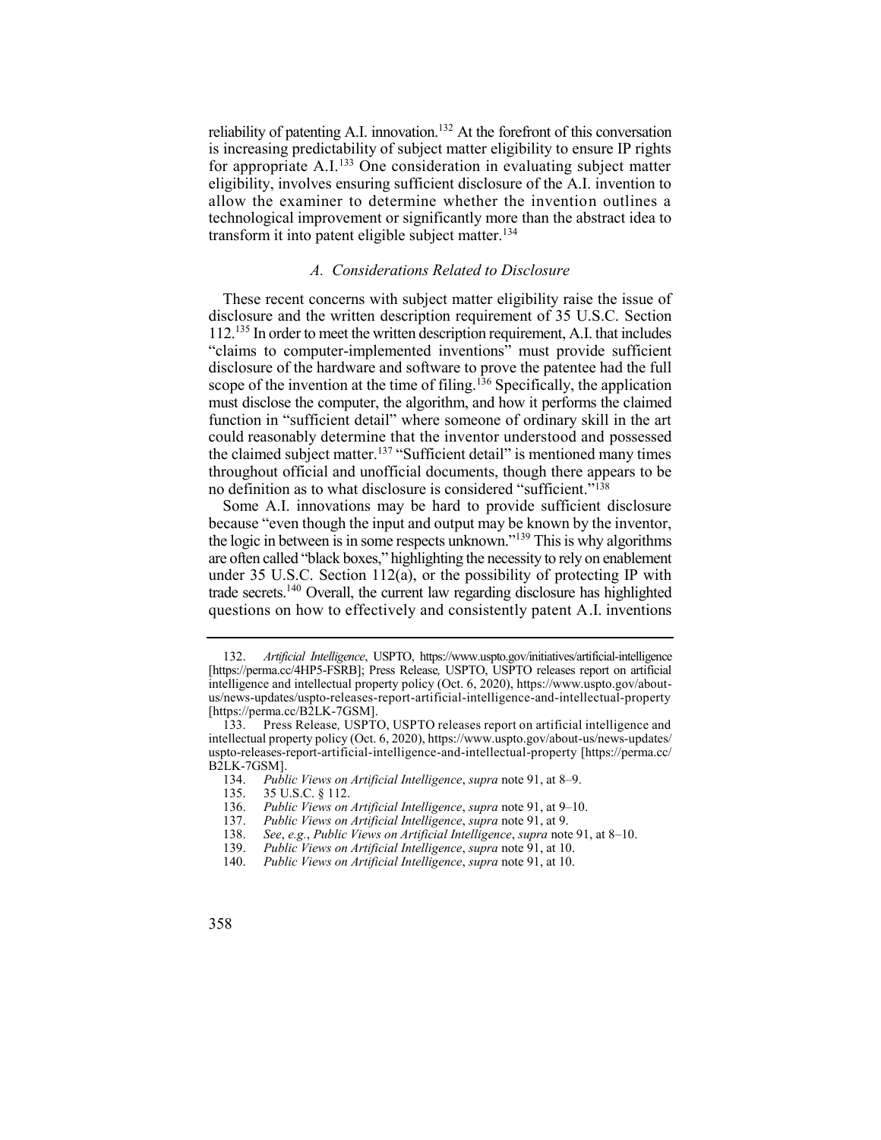reliability of patenting A.I. innovation.<sup>132</sup> At the forefront of this conversation for appropriate A.I.<sup>133</sup> One consideration in evaluating subject matter is increasing predictability of subject matter eligibility to ensure IP rights eligibility, involves ensuring sufficient disclosure of the A.I. invention to allow the examiner to determine whether the invention outlines a technological improvement or significantly more than the abstract idea to transform it into patent eligible subject matter.<sup>134</sup>

# *A. Considerations Related to Disclosure*

 These recent concerns with subject matter eligibility raise the issue of disclosure and the written description requirement of 35 U.S.C. Section 112.135 In order to meet the written description requirement, A.I. that includes scope of the invention at the time of filing.<sup>136</sup> Specifically, the application function in "sufficient detail" where someone of ordinary skill in the art the claimed subject matter.<sup>137</sup> "Sufficient detail" is mentioned many times "claims to computer-implemented inventions" must provide sufficient disclosure of the hardware and software to prove the patentee had the full must disclose the computer, the algorithm, and how it performs the claimed could reasonably determine that the inventor understood and possessed throughout official and unofficial documents, though there appears to be no definition as to what disclosure is considered "sufficient."<sup>138</sup>

 Some A.I. innovations may be hard to provide sufficient disclosure the logic in between is in some respects unknown."<sup>139</sup> This is why algorithms trade secrets.<sup>140</sup> Overall, the current law regarding disclosure has highlighted because "even though the input and output may be known by the inventor, are often called "black boxes," highlighting the necessity to rely on enablement under 35 U.S.C. Section 112(a), or the possibility of protecting IP with questions on how to effectively and consistently patent A.I. inventions

 132. *Artificial Intelligence*, USPTO, <https://www.uspto.gov/initiatives/artificial-intelligence> [<https://perma.cc/4HP5-FSRB>]; Press Release*,* USPTO, USPTO releases report on artificial intelligence and intellectual property policy (Oct. 6, 2020),<https://www.uspto.gov/about>us/news-updates/uspto-releases-report-artificial-intelligence-and-intellectual-property [[https://perma.cc/B2LK-7GSM\]](https://perma.cc/B2LK-7GSM).

 intellectual property policy (Oct. 6, 2020), [https://www.uspto.gov/about-us/news-updates/](https://www.uspto.gov/about-us/news-updates) 133. Press Release*,* USPTO, USPTO releases report on artificial intelligence and uspto-releases-report-artificial-intelligence-and-intellectual-property [<https://perma.cc>/ B2LK-7GSM].<br>134. Publ

 134. *Public Views on Artificial Intelligence*, *supra* note 91, at 8–9.

 135. 35 U.S.C. § 112.

 136. *Public Views on Artificial Intelligence*, *supra* note 91, at 9–10.

 137. *Public Views on Artificial Intelligence*, *supra* note 91, at 9.

 138. *See*, *e.g.*, *Public Views on Artificial Intelligence*, *supra* note 91, at 8–10.

 139. *Public Views on Artificial Intelligence*, *supra* note 91, at 10.

<sup>140.</sup> *Public Views on Artificial Intelligence*, *supra* note 91, at 10.

<sup>358</sup>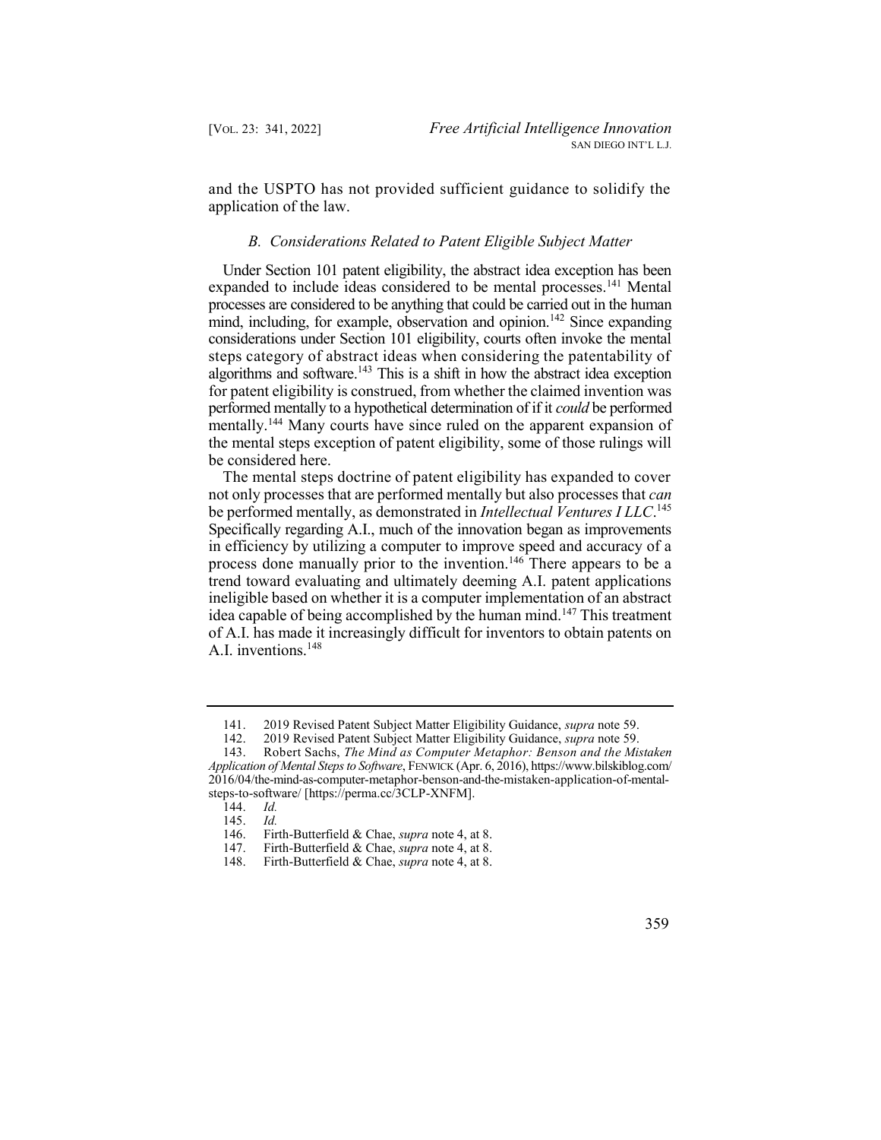and the USPTO has not provided sufficient guidance to solidify the application of the law.

## *B. Considerations Related to Patent Eligible Subject Matter*

mind, including, for example, observation and opinion.<sup>142</sup> Since expanding algorithms and software. $143$  This is a shift in how the abstract idea exception mentally.<sup>144</sup> Many courts have since ruled on the apparent expansion of Under Section 101 patent eligibility, the abstract idea exception has been expanded to include ideas considered to be mental processes. 141 Mental processes are considered to be anything that could be carried out in the human considerations under Section 101 eligibility, courts often invoke the mental steps category of abstract ideas when considering the patentability of for patent eligibility is construed, from whether the claimed invention was performed mentally to a hypothetical determination of if it *could* be performed the mental steps exception of patent eligibility, some of those rulings will be considered here.

 The mental steps doctrine of patent eligibility has expanded to cover  be performed mentally, as demonstrated in *Intellectual Ventures I LLC*. 145 Specifically regarding A.I., much of the innovation began as improvements process done manually prior to the invention.<sup>146</sup> There appears to be a idea capable of being accomplished by the human mind.<sup>147</sup> This treatment not only processes that are performed mentally but also processes that *can*  in efficiency by utilizing a computer to improve speed and accuracy of a trend toward evaluating and ultimately deeming A.I. patent applications ineligible based on whether it is a computer implementation of an abstract of A.I. has made it increasingly difficult for inventors to obtain patents on A.I. inventions.148

 141. 2019 Revised Patent Subject Matter Eligibility Guidance, *supra* note 59.

 142. 2019 Revised Patent Subject Matter Eligibility Guidance, *supra* note 59.

 143. Robert Sachs, *The Mind as Computer Metaphor: Benson and the Mistaken Application of Mental Steps to Software*, FENWICK (Apr. 6, 2016), [https://www.bilskiblog.com/](https://www.bilskiblog.com) 2016/04/the-mind-as-computer-metaphor-benson-and-the-mistaken-application-of-mentalsteps-to-software/ [<https://perma.cc/3CLP-XNFM>].

<sup>144.</sup> *Id.* 

<sup>145.</sup> *Id.* 

 146. Firth-Butterfield & Chae, *supra* note 4, at 8.

 147. Firth-Butterfield & Chae, *supra* note 4, at 8.

 148. Firth-Butterfield & Chae, *supra* note 4, at 8.

<sup>359</sup>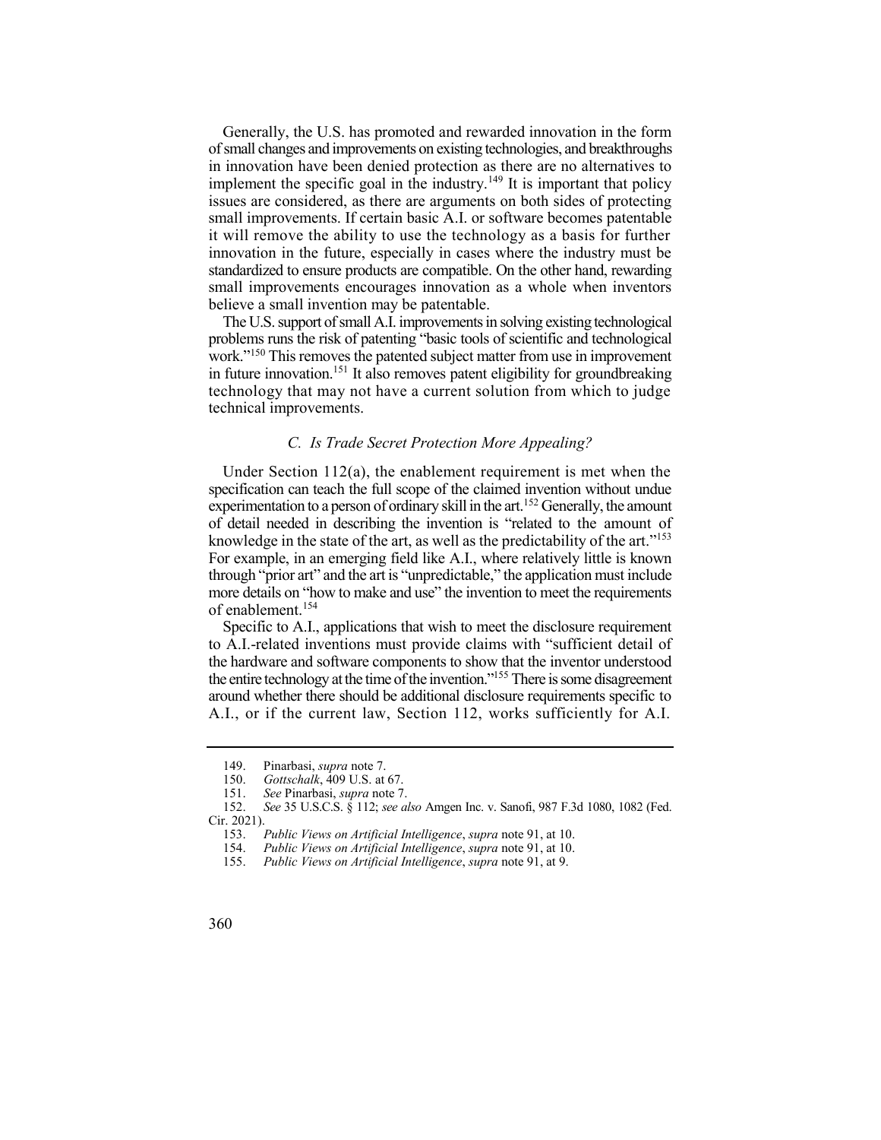implement the specific goal in the industry.<sup>149</sup> It is important that policy Generally, the U.S. has promoted and rewarded innovation in the form of small changes and improvements on existing technologies, and breakthroughs in innovation have been denied protection as there are no alternatives to issues are considered, as there are arguments on both sides of protecting small improvements. If certain basic A.I. or software becomes patentable it will remove the ability to use the technology as a basis for further innovation in the future, especially in cases where the industry must be standardized to ensure products are compatible. On the other hand, rewarding small improvements encourages innovation as a whole when inventors believe a small invention may be patentable.

 The U.S. support of small A.I. improvements in solving existing technological in future innovation.<sup>151</sup> It also removes patent eligibility for groundbreaking problems runs the risk of patenting "basic tools of scientific and technological work."150 This removes the patented subject matter from use in improvement technology that may not have a current solution from which to judge technical improvements.

# *C. Is Trade Secret Protection More Appealing?*

 Under Section 112(a), the enablement requirement is met when the experimentation to a person of ordinary skill in the art.<sup>152</sup> Generally, the amount knowledge in the state of the art, as well as the predictability of the art."<sup>153</sup> For example, in an emerging field like A.I., where relatively little is known through "prior art" and the art is "unpredictable," the application must include more details on "how to make and use" the invention to meet the requirements specification can teach the full scope of the claimed invention without undue of detail needed in describing the invention is "related to the amount of of enablement.<sup>154</sup>

 Specific to A.I., applications that wish to meet the disclosure requirement the entire technology at the time of the invention."<sup>155</sup> There is some disagreement to A.I.-related inventions must provide claims with "sufficient detail of the hardware and software components to show that the inventor understood around whether there should be additional disclosure requirements specific to A.I., or if the current law, Section 112, works sufficiently for A.I.

<sup>149.</sup> Pinarbasi, *supra* note 7.

 150. *Gottschalk*, 409 U.S. at 67.

<sup>151.</sup> *See* Pinarbasi, *supra* note 7.

 152. *See* 35 U.S.C.S. § 112; *see also* Amgen Inc. v. Sanofi, 987 F.3d 1080, 1082 (Fed. Cir. 2021).

 153. *Public Views on Artificial Intelligence*, *supra* note 91, at 10.

 154. *Public Views on Artificial Intelligence*, *supra* note 91, at 10.

<sup>155.</sup> *Public Views on Artificial Intelligence*, *supra* note 91, at 9.

<sup>360</sup>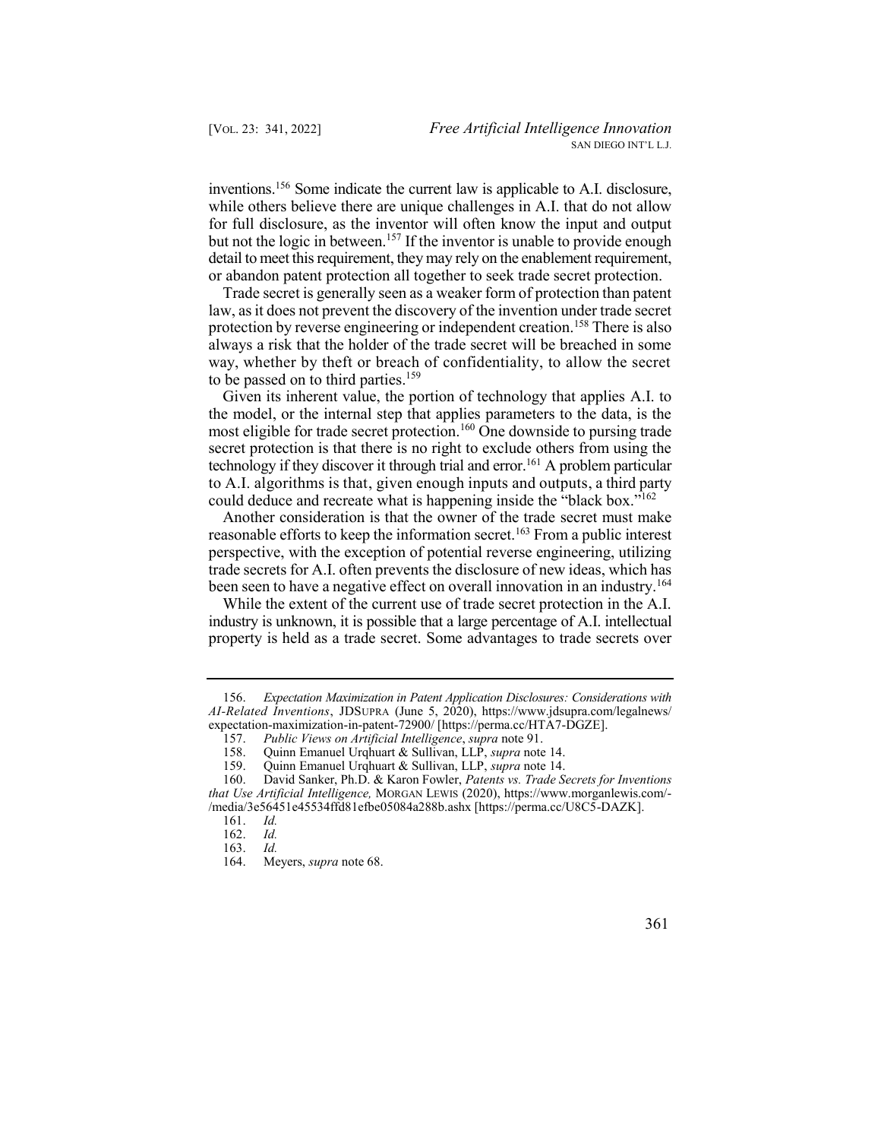inventions.156 Some indicate the current law is applicable to A.I. disclosure, but not the logic in between.<sup>157</sup> If the inventor is unable to provide enough while others believe there are unique challenges in A.I. that do not allow for full disclosure, as the inventor will often know the input and output detail to meet this requirement, they may rely on the enablement requirement, or abandon patent protection all together to seek trade secret protection.

 Trade secret is generally seen as a weaker form of protection than patent protection by reverse engineering or independent creation.<sup>158</sup> There is also law, as it does not prevent the discovery of the invention under trade secret always a risk that the holder of the trade secret will be breached in some way, whether by theft or breach of confidentiality, to allow the secret to be passed on to third parties.<sup>159</sup>

 Given its inherent value, the portion of technology that applies A.I. to most eligible for trade secret protection.<sup>160</sup> One downside to pursing trade technology if they discover it through trial and error.<sup>161</sup> A problem particular the model, or the internal step that applies parameters to the data, is the secret protection is that there is no right to exclude others from using the to A.I. algorithms is that, given enough inputs and outputs, a third party could deduce and recreate what is happening inside the "black box."<sup>162</sup>

 trade secrets for A.I. often prevents the disclosure of new ideas, which has been seen to have a negative effect on overall innovation in an industry.<sup>164</sup> Another consideration is that the owner of the trade secret must make reasonable efforts to keep the information secret.<sup>163</sup> From a public interest perspective, with the exception of potential reverse engineering, utilizing

 While the extent of the current use of trade secret protection in the A.I. property is held as a trade secret. Some advantages to trade secrets over industry is unknown, it is possible that a large percentage of A.I. intellectual

163. *Id.* 



<sup>156.</sup> *Expectation Maximization in Patent Application Disclosures: Considerations with AI-Related Inventions*, JDSUPRA (June 5, 2020), <https://www.jdsupra.com/legalnews>/ expectation-maximization-in-patent-72900/ [\[https://perma.cc/HTA7-DGZE](https://perma.cc/HTA7-DGZE)].

 157. *Public Views on Artificial Intelligence*, *supra* note 91.

 158. Quinn Emanuel Urqhuart & Sullivan, LLP, *supra* note 14.

 159. Quinn Emanuel Urqhuart & Sullivan, LLP, *supra* note 14.

 160. David Sanker, Ph.D. & Karon Fowler, *Patents vs. Trade Secrets for Inventions* 

 *that Use Artificial Intelligence,* MORGAN LEWIS (2020), <https://www.morganlewis.com>/- /media/3e56451e45534ffd81efbe05084a288b.ashx [[https://perma.cc/U8C5-DAZK\]](https://perma.cc/U8C5-DAZK).

<sup>161.</sup> *Id.* 

<sup>162.</sup> *Id.* 

Meyers, *supra* note 68.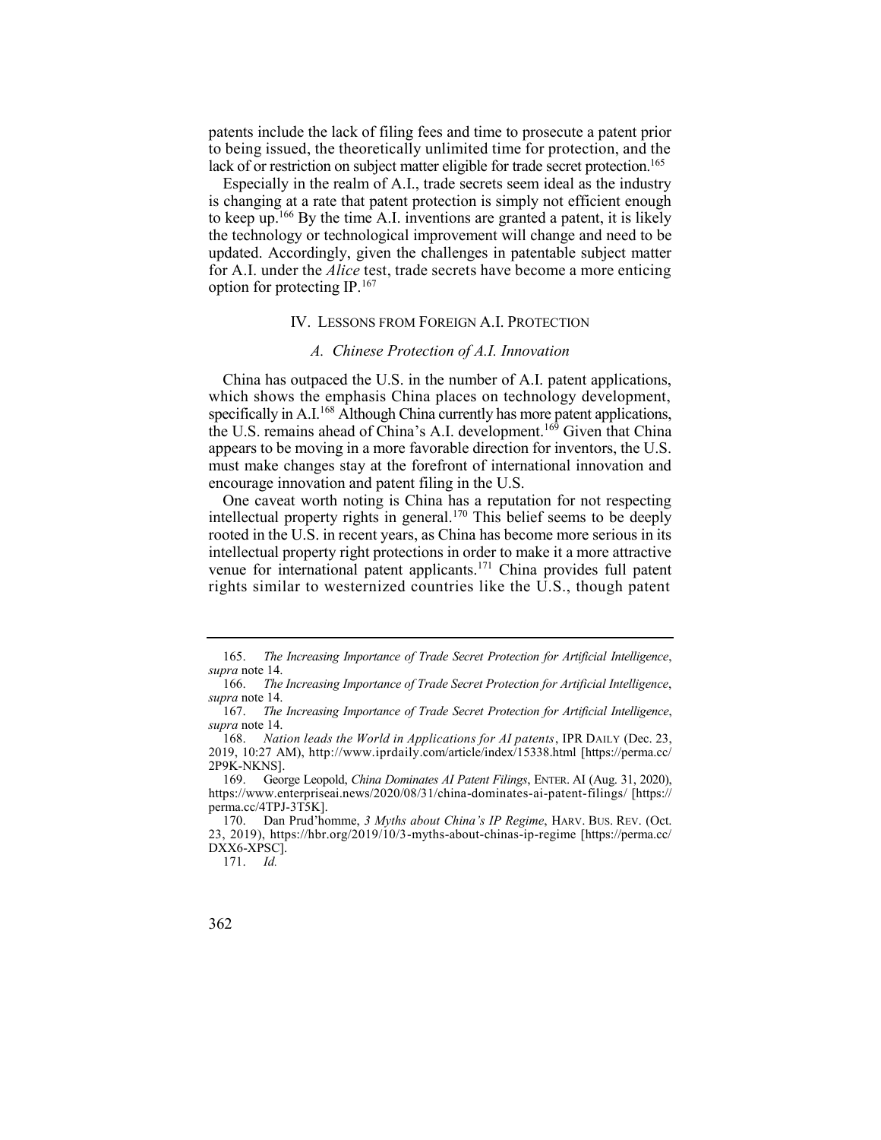patents include the lack of filing fees and time to prosecute a patent prior to being issued, the theoretically unlimited time for protection, and the lack of or restriction on subject matter eligible for trade secret protection.<sup>165</sup>

 Especially in the realm of A.I., trade secrets seem ideal as the industry is changing at a rate that patent protection is simply not efficient enough to keep up.166 By the time A.I. inventions are granted a patent, it is likely the technology or technological improvement will change and need to be updated. Accordingly, given the challenges in patentable subject matter for A.I. under the *Alice* test, trade secrets have become a more enticing option for protecting IP.167

## IV. LESSONS FROM FOREIGN A.I. PROTECTION

## *A. Chinese Protection of A.I. Innovation*

 China has outpaced the U.S. in the number of A.I. patent applications, specifically in A.I.<sup>168</sup> Although China currently has more patent applications, the U.S. remains ahead of China's A.I. development.<sup>169</sup> Given that China which shows the emphasis China places on technology development, appears to be moving in a more favorable direction for inventors, the U.S. must make changes stay at the forefront of international innovation and encourage innovation and patent filing in the U.S.

intellectual property rights in general.<sup>170</sup> This belief seems to be deeply venue for international patent applicants.<sup>171</sup> China provides full patent One caveat worth noting is China has a reputation for not respecting rooted in the U.S. in recent years, as China has become more serious in its intellectual property right protections in order to make it a more attractive rights similar to westernized countries like the U.S., though patent

171. *Id.* 

 165. *The Increasing Importance of Trade Secret Protection for Artificial Intelligence*, *supra* note 14.

 166. *The Increasing Importance of Trade Secret Protection for Artificial Intelligence*, *supra* note 14.

 167. *The Increasing Importance of Trade Secret Protection for Artificial Intelligence*, *supra* note 14.

 168. *Nation leads the World in Applications for AI patents*, IPR DAILY (Dec. 23, 2019, 10:27 AM), <http://www.iprdaily.com/article/index/15338.html>[[https://perma.cc/](https://perma.cc) 2P9K-NKNS].

 169. George Leopold, *China Dominates AI Patent Filings*, ENTER. AI (Aug. 31, 2020), <https://www.enterpriseai.news/2020/08/31/china-dominates-ai-patent-filings>/ [https:// perma.cc/4TPJ-3T5K].

 23, 2019), <https://hbr.org/2019/10/3-myths-about-chinas-ip-regime>[<https://perma.cc>/ 170. Dan Prud'homme, *3 Myths about China's IP Regime*, HARV. BUS. REV. (Oct. DXX6-XPSC].

<sup>362</sup>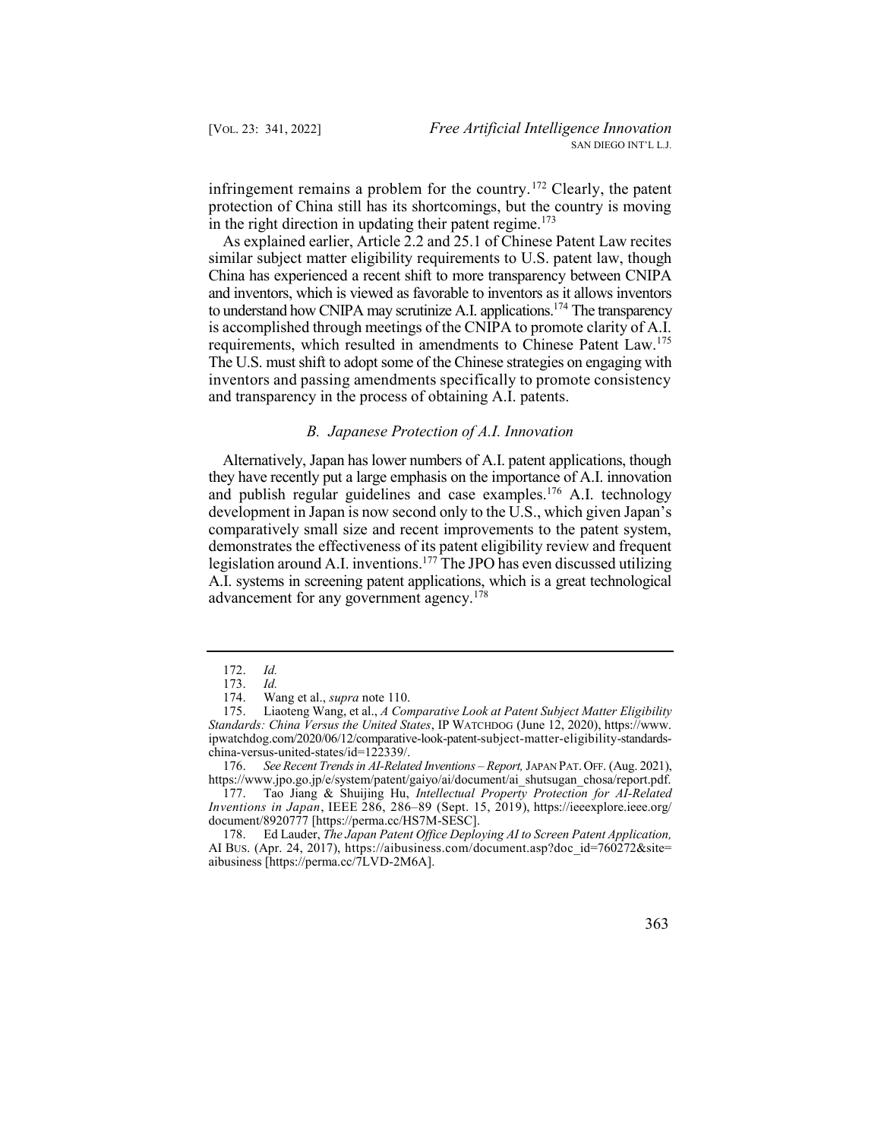infringement remains a problem for the country.<sup>172</sup> Clearly, the patent protection of China still has its shortcomings, but the country is moving in the right direction in updating their patent regime.<sup>173</sup>

 As explained earlier, Article 2.2 and 25.1 of Chinese Patent Law recites similar subject matter eligibility requirements to U.S. patent law, though to understand how CNIPA may scrutinize A.I. applications.<sup>174</sup> The transparency The U.S. must shift to adopt some of the Chinese strategies on engaging with inventors and passing amendments specifically to promote consistency China has experienced a recent shift to more transparency between CNIPA and inventors, which is viewed as favorable to inventors as it allows inventors is accomplished through meetings of the CNIPA to promote clarity of A.I. requirements, which resulted in amendments to Chinese Patent Law.<sup>175</sup> and transparency in the process of obtaining A.I. patents.

### *B. Japanese Protection of A.I. Innovation*

 Alternatively, Japan has lower numbers of A.I. patent applications, though and publish regular guidelines and case examples.<sup>176</sup> A.I. technology they have recently put a large emphasis on the importance of A.I. innovation development in Japan is now second only to the U.S., which given Japan's comparatively small size and recent improvements to the patent system, demonstrates the effectiveness of its patent eligibility review and frequent legislation around A.I. inventions.<sup>177</sup> The JPO has even discussed utilizing A.I. systems in screening patent applications, which is a great technological advancement for any government agency.<sup>178</sup>

176. *See Recent Trends in AI-Related Inventions - Report, JAPAN PAT. OFF. (Aug. 2021),* [https://www.jpo.go.jp/e/system/patent/gaiyo/ai/document/ai\\_shutsugan\\_chosa/report.pdf](https://www.jpo.go.jp/e/system/patent/gaiyo/ai/document/ai_shutsugan_chosa/report.pdf).

 177. Tao Jiang & Shuijing Hu, *Intellectual Property Protection for AI-Related Inventions in Japan*, IEEE 286, 286–89 (Sept. 15, 2019), [https://ieeexplore.ieee.org/](https://ieeexplore.ieee.org) document/8920777 [[https://perma.cc/HS7M-SESC\]](https://perma.cc/HS7M-SESC).

 178. Ed Lauder, *The Japan Patent Office Deploying AI to Screen Patent Application,*  AI BUS. (Apr. 24, 2017), [https://aibusiness.com/document.asp?doc\\_id=760272&site=](https://aibusiness.com/document.asp?doc_id=760272&site) aibusiness [\[https://perma.cc/7LVD-2M6A](https://perma.cc/7LVD-2M6A)].

<sup>172.</sup> *Id.* 

<sup>173.</sup> *Id.* 

 174. Wang et al., *supra* note 110.

 175. Liaoteng Wang, et al., *A Comparative Look at Patent Subject Matter Eligibility Standards: China Versus the United States*, IP WATCHDOG (June 12, 2020), [https://www.](https://www) [ipwatchdog.com/2020/06/12/comparative-look-patent-subject-matter-eligibility-standards](https://ipwatchdog.com/2020/06/12/comparative-look-patent-subject-matter-eligibility-standards)china-versus-united-states/id=122339/.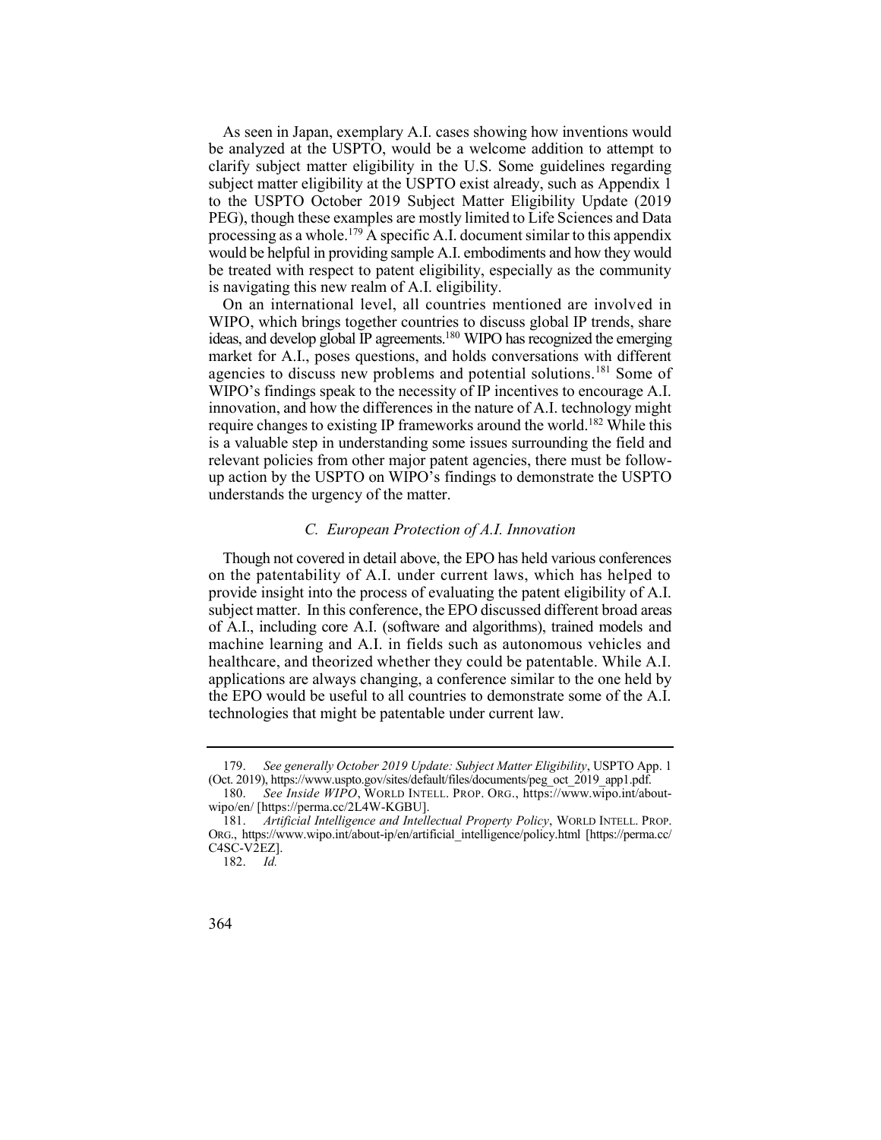be analyzed at the USPTO, would be a welcome addition to attempt to clarify subject matter eligibility in the U.S. Some guidelines regarding processing as a whole.<sup>179</sup> A specific A.I. document similar to this appendix As seen in Japan, exemplary A.I. cases showing how inventions would subject matter eligibility at the USPTO exist already, such as Appendix 1 to the USPTO October 2019 Subject Matter Eligibility Update (2019 PEG), though these examples are mostly limited to Life Sciences and Data would be helpful in providing sample A.I. embodiments and how they would be treated with respect to patent eligibility, especially as the community is navigating this new realm of A.I. eligibility.

 On an international level, all countries mentioned are involved in ideas, and develop global IP agreements.<sup>180</sup> WIPO has recognized the emerging agencies to discuss new problems and potential solutions.<sup>181</sup> Some of require changes to existing IP frameworks around the world.<sup>182</sup> While this relevant policies from other major patent agencies, there must be follow- up action by the USPTO on WIPO's findings to demonstrate the USPTO WIPO, which brings together countries to discuss global IP trends, share market for A.I., poses questions, and holds conversations with different WIPO's findings speak to the necessity of IP incentives to encourage A.I. innovation, and how the differences in the nature of A.I. technology might is a valuable step in understanding some issues surrounding the field and understands the urgency of the matter.

## *C. European Protection of A.I. Innovation*

 Though not covered in detail above, the EPO has held various conferences on the patentability of A.I. under current laws, which has helped to subject matter. In this conference, the EPO discussed different broad areas of A.I., including core A.I. (software and algorithms), trained models and machine learning and A.I. in fields such as autonomous vehicles and healthcare, and theorized whether they could be patentable. While A.I. applications are always changing, a conference similar to the one held by the EPO would be useful to all countries to demonstrate some of the A.I. provide insight into the process of evaluating the patent eligibility of A.I. technologies that might be patentable under current law.

 179. *See generally October 2019 Update: Subject Matter Eligibility*, USPTO App. 1 (Oct. 2019), [https://www.uspto.gov/sites/default/files/documents/peg\\_oct\\_2019\\_app1.pdf.](https://www.uspto.gov/sites/default/files/documents/peg_oct_2019_app1.pdf)

 180. *See Inside WIPO*, WORLD INTELL. PROP. ORG., <https://www.wipo.int/about>wipo/en/ [[https://perma.cc/2L4W-KGBU\]](https://perma.cc/2L4W-KGBU).

 181. *Artificial Intelligence and Intellectual Property Policy*, WORLD INTELL. PROP. ORG., [https://www.wipo.int/about-ip/en/artificial\\_intelligence/policy.html](https://www.wipo.int/about-ip/en/artificial_intelligence/policy.html) [\[https://perma.cc/](https://perma.cc) C4SC-V2EZ].

<sup>182.</sup> *Id.* 

<sup>364</sup>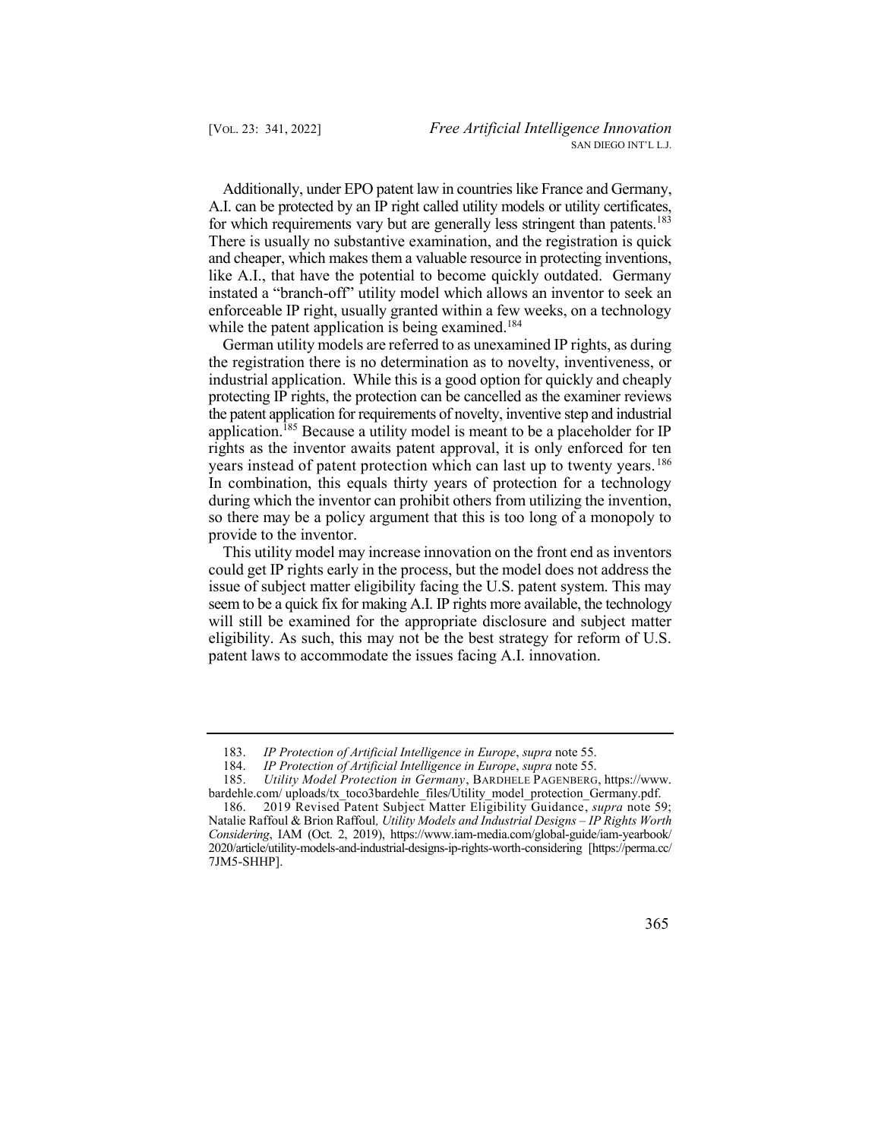Additionally, under EPO patent law in countries like France and Germany, for which requirements vary but are generally less stringent than patents.<sup>183</sup> There is usually no substantive examination, and the registration is quick and cheaper, which makes them a valuable resource in protecting inventions, like A.I., that have the potential to become quickly outdated. Germany instated a "branch-off" utility model which allows an inventor to seek an A.I. can be protected by an IP right called utility models or utility certificates, enforceable IP right, usually granted within a few weeks, on a technology while the patent application is being examined.<sup>184</sup>

 the registration there is no determination as to novelty, inventiveness, or industrial application. While this is a good option for quickly and cheaply application.<sup>185</sup> Because a utility model is meant to be a placeholder for IP years instead of patent protection which can last up to twenty years.<sup>186</sup> In combination, this equals thirty years of protection for a technology during which the inventor can prohibit others from utilizing the invention, so there may be a policy argument that this is too long of a monopoly to German utility models are referred to as unexamined IP rights, as during protecting IP rights, the protection can be cancelled as the examiner reviews the patent application for requirements of novelty, inventive step and industrial rights as the inventor awaits patent approval, it is only enforced for ten provide to the inventor.

 This utility model may increase innovation on the front end as inventors could get IP rights early in the process, but the model does not address the seem to be a quick fix for making A.I. IP rights more available, the technology will still be examined for the appropriate disclosure and subject matter eligibility. As such, this may not be the best strategy for reform of U.S. issue of subject matter eligibility facing the U.S. patent system. This may patent laws to accommodate the issues facing A.I. innovation.

 186. 2019 Revised Patent Subject Matter Eligibility Guidance, *supra* note 59; *Considering*, IAM (Oct. 2, 2019), [https://www.iam-media.com/global-guide/iam-yearbook/](https://www.iam-media.com/global-guide/iam-yearbook) Natalie Raffoul & Brion Raffoul*, Utility Models and Industrial Designs – IP Rights Worth*  2020/article/utility-models-and-industrial-designs-ip-rights-worth-considering [\[https://perma.cc/](https://perma.cc) 7JM5-SHHP].



 183. *IP Protection of Artificial Intelligence in Europe*, *supra* note 55.

 184. *IP Protection of Artificial Intelligence in Europe*, *supra* note 55.

 185. *Utility Model Protection in Germany*, BARDHELE PAGENBERG, https://www. [bardehle.com/](https://bardehle.com) uploads/tx\_toco3bardehle\_files/Utility\_model\_protection\_Germany.pdf.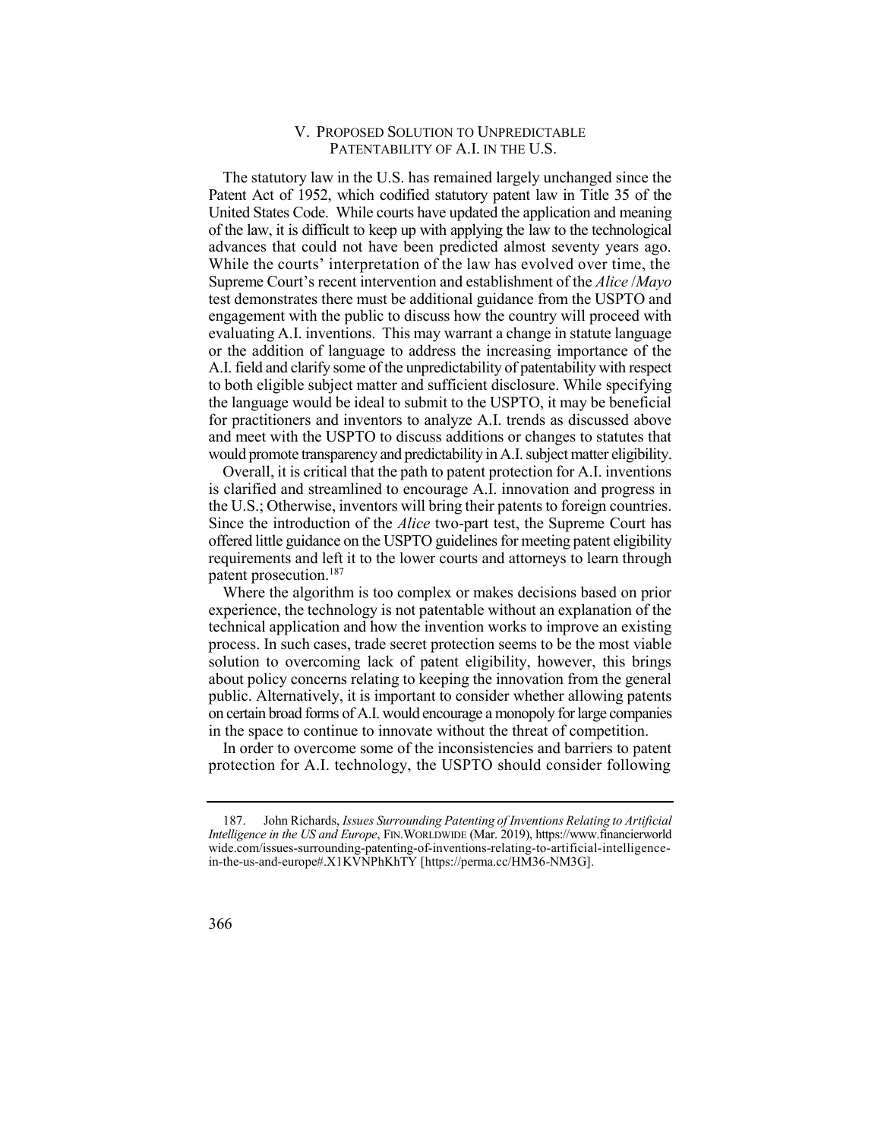# V. PROPOSED SOLUTION TO UNPREDICTABLE PATENTABILITY OF A.I. IN THE U.S.

 The statutory law in the U.S. has remained largely unchanged since the Patent Act of 1952, which codified statutory patent law in Title 35 of the United States Code. While courts have updated the application and meaning of the law, it is difficult to keep up with applying the law to the technological advances that could not have been predicted almost seventy years ago. While the courts' interpretation of the law has evolved over time, the Supreme Court's recent intervention and establishment of the *Alice* /*Mayo*  test demonstrates there must be additional guidance from the USPTO and evaluating A.I. inventions. This may warrant a change in statute language or the addition of language to address the increasing importance of the A.I. field and clarify some of the unpredictability of patentability with respect to both eligible subject matter and sufficient disclosure. While specifying the language would be ideal to submit to the USPTO, it may be beneficial would promote transparency and predictability in A.I. subject matter eligibility. engagement with the public to discuss how the country will proceed with for practitioners and inventors to analyze A.I. trends as discussed above and meet with the USPTO to discuss additions or changes to statutes that

 Overall, it is critical that the path to patent protection for A.I. inventions the U.S.; Otherwise, inventors will bring their patents to foreign countries. Since the introduction of the *Alice* two-part test, the Supreme Court has offered little guidance on the USPTO guidelines for meeting patent eligibility requirements and left it to the lower courts and attorneys to learn through is clarified and streamlined to encourage A.I. innovation and progress in patent prosecution.187

 Where the algorithm is too complex or makes decisions based on prior experience, the technology is not patentable without an explanation of the process. In such cases, trade secret protection seems to be the most viable solution to overcoming lack of patent eligibility, however, this brings about policy concerns relating to keeping the innovation from the general public. Alternatively, it is important to consider whether allowing patents on certain broad forms of A.I. would encourage a monopoly for large companies technical application and how the invention works to improve an existing in the space to continue to innovate without the threat of competition.

 protection for A.I. technology, the USPTO should consider following In order to overcome some of the inconsistencies and barriers to patent

 *Intelligence in the US and Europe*, FIN.WORLDWIDE (Mar. 2019),<https://www.financierworld> 187. John Richards, *Issues Surrounding Patenting of Inventions Relating to Artificial*  [wide.com/issues-surrounding-patenting-of-inventions-relating-to-artificial-intelligence](https://wide.com/issues-surrounding-patenting-of-inventions-relating-to-artificial-intelligence)in-the-us-and-europe#.X1KVNPhKhTY [[https://perma.cc/HM36-NM3G\]](https://perma.cc/HM36-NM3G).

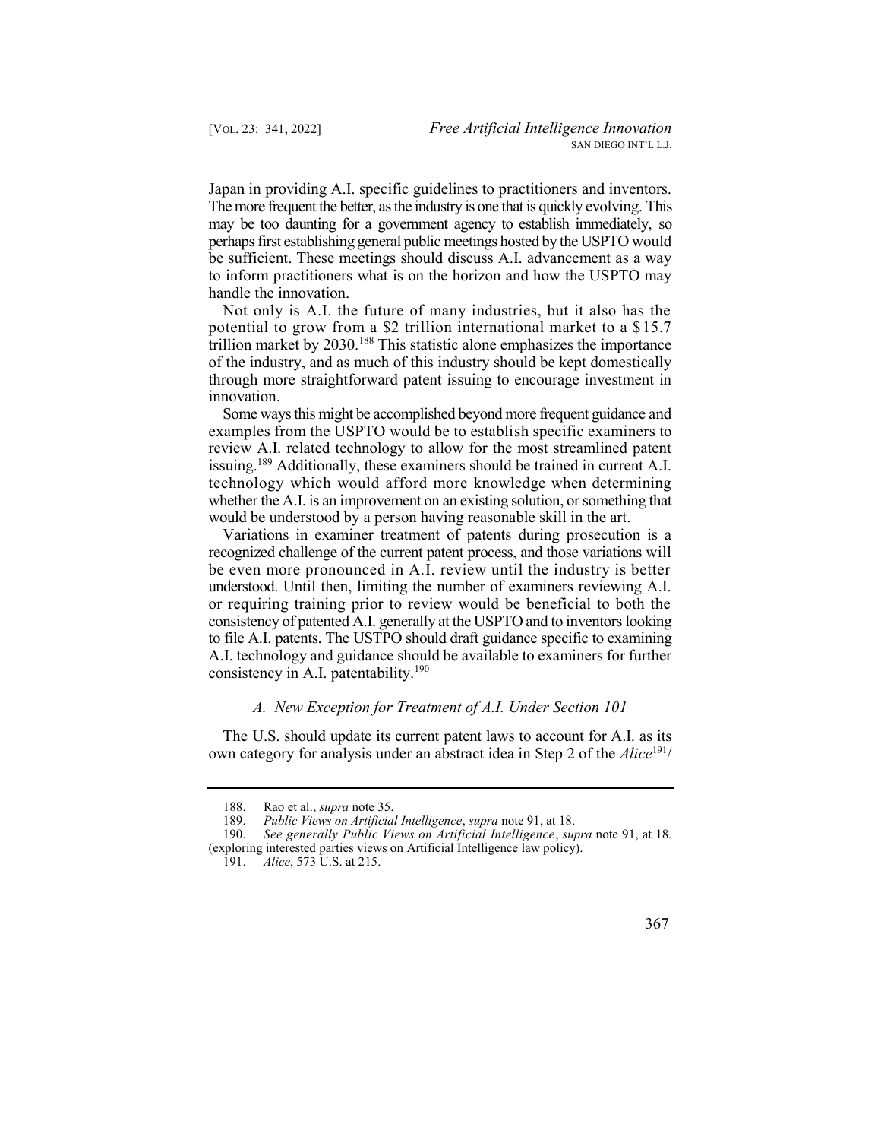The more frequent the better, as the industry is one that is quickly evolving. This may be too daunting for a government agency to establish immediately, so perhaps first establishing general public meetings hosted by the USPTO would be sufficient. These meetings should discuss A.I. advancement as a way to inform practitioners what is on the horizon and how the USPTO may Japan in providing A.I. specific guidelines to practitioners and inventors. handle the innovation.

 Not only is A.I. the future of many industries, but it also has the potential to grow from a \$2 trillion international market to a \$15.7 trillion market by 2030.188 This statistic alone emphasizes the importance of the industry, and as much of this industry should be kept domestically through more straightforward patent issuing to encourage investment in innovation.

 Some ways this might be accomplished beyond more frequent guidance and examples from the USPTO would be to establish specific examiners to review A.I. related technology to allow for the most streamlined patent issuing.<sup>189</sup> Additionally, these examiners should be trained in current A.I. technology which would afford more knowledge when determining whether the A.I. is an improvement on an existing solution, or something that would be understood by a person having reasonable skill in the art.

 Variations in examiner treatment of patents during prosecution is a be even more pronounced in A.I. review until the industry is better understood. Until then, limiting the number of examiners reviewing A.I. or requiring training prior to review would be beneficial to both the consistency of patented A.I. generally at the USPTO and to inventors looking to file A.I. patents. The USTPO should draft guidance specific to examining recognized challenge of the current patent process, and those variations will A.I. technology and guidance should be available to examiners for further consistency in A.I. patentability.<sup>190</sup>

## *A. New Exception for Treatment of A.I. Under Section 101*

 The U.S. should update its current patent laws to account for A.I. as its own category for analysis under an abstract idea in Step 2 of the *Alice*191/



 188. Rao et al., *supra* note 35.

 189. *Public Views on Artificial Intelligence*, *supra* note 91, at 18.

 190. *See generally Public Views on Artificial Intelligence*, *supra* note 91, at 18*.*  (exploring interested parties views on Artificial Intelligence law policy).

 191. *Alice*, 573 U.S. at 215.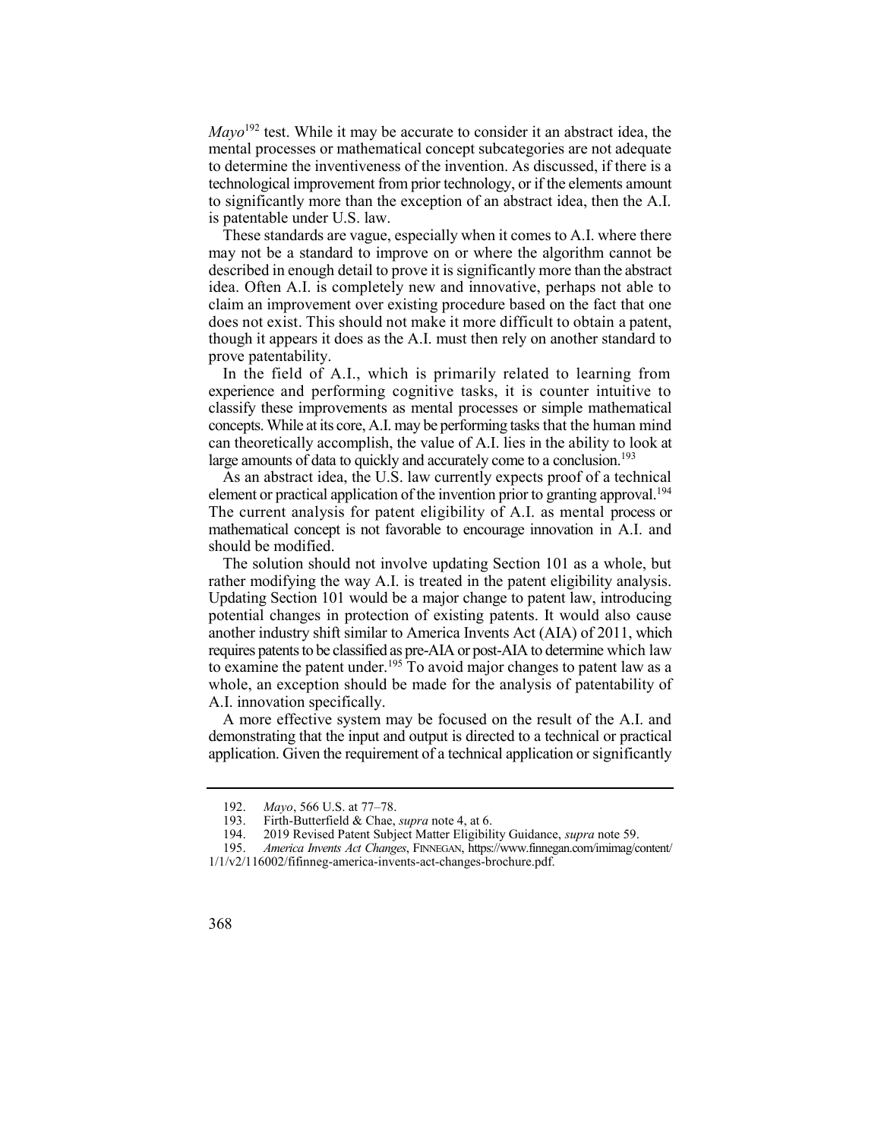*Mayo*192 test. While it may be accurate to consider it an abstract idea, the mental processes or mathematical concept subcategories are not adequate to determine the inventiveness of the invention. As discussed, if there is a technological improvement from prior technology, or if the elements amount to significantly more than the exception of an abstract idea, then the A.I. is patentable under U.S. law.

 These standards are vague, especially when it comes to A.I. where there may not be a standard to improve on or where the algorithm cannot be described in enough detail to prove it is significantly more than the abstract idea. Often A.I. is completely new and innovative, perhaps not able to claim an improvement over existing procedure based on the fact that one does not exist. This should not make it more difficult to obtain a patent, though it appears it does as the A.I. must then rely on another standard to prove patentability.

 In the field of A.I., which is primarily related to learning from experience and performing cognitive tasks, it is counter intuitive to classify these improvements as mental processes or simple mathematical concepts. While at its core, A.I. may be performing tasks that the human mind can theoretically accomplish, the value of A.I. lies in the ability to look at large amounts of data to quickly and accurately come to a conclusion.<sup>193</sup>

 As an abstract idea, the U.S. law currently expects proof of a technical element or practical application of the invention prior to granting approval.<sup>194</sup> The current analysis for patent eligibility of A.I. as mental process or mathematical concept is not favorable to encourage innovation in A.I. and should be modified.

 The solution should not involve updating Section 101 as a whole, but rather modifying the way A.I. is treated in the patent eligibility analysis. Updating Section 101 would be a major change to patent law, introducing to examine the patent under.<sup>195</sup> To avoid major changes to patent law as a potential changes in protection of existing patents. It would also cause another industry shift similar to America Invents Act (AIA) of 2011, which requires patents to be classified as pre-AIA or post-AIA to determine which law whole, an exception should be made for the analysis of patentability of A.I. innovation specifically.

 A more effective system may be focused on the result of the A.I. and application. Given the requirement of a technical application or significantly demonstrating that the input and output is directed to a technical or practical

<sup>192.</sup> *Mayo*, 566 U.S. at 77–78.

 193. Firth-Butterfield & Chae, *supra* note 4, at 6.

 194. 2019 Revised Patent Subject Matter Eligibility Guidance, *supra* note 59.

<sup>195.</sup> *America Invents Act Changes*, FINNEGAN, https://www.finnegan.com/imimag/content/ 1/1/v2/116002/fifinneg-america-invents-act-changes-brochure.pdf.

<sup>368</sup>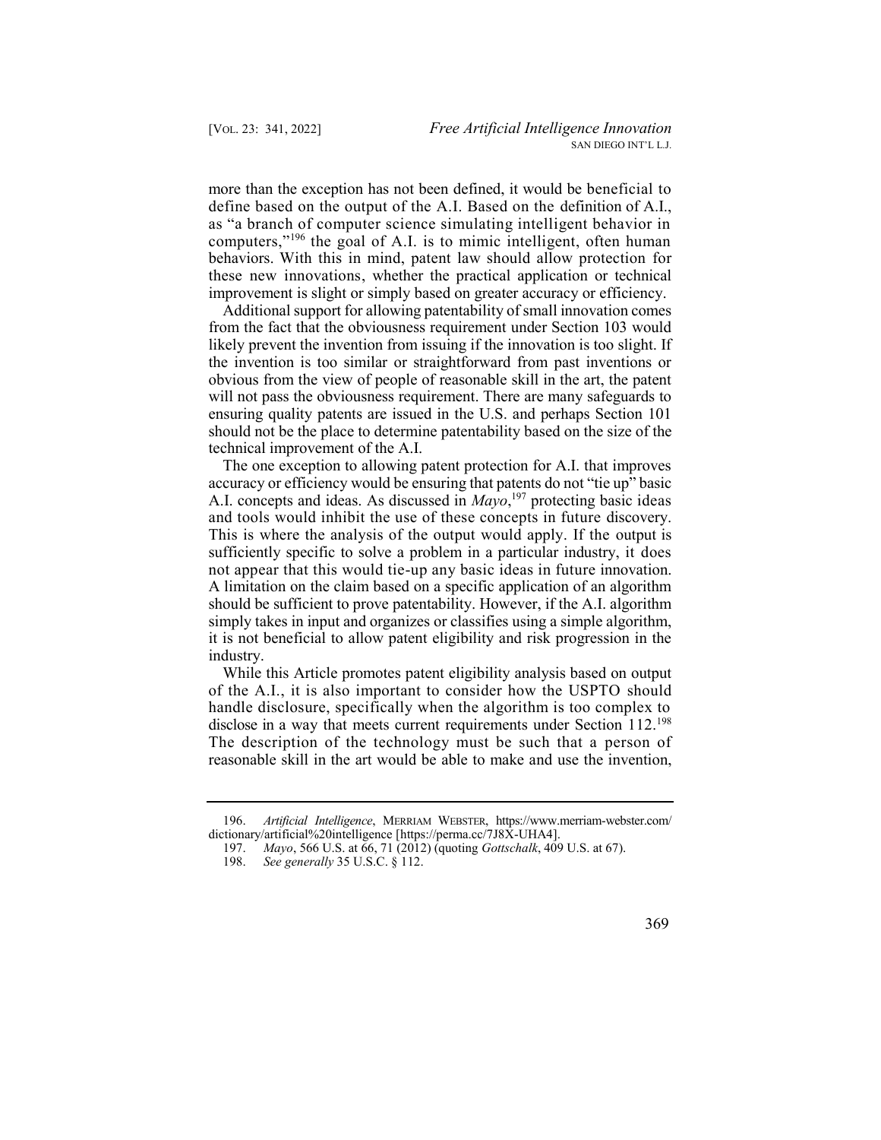more than the exception has not been defined, it would be beneficial to define based on the output of the A.I. Based on the definition of A.I., computers,"<sup>196</sup> the goal of A.I. is to mimic intelligent, often human as "a branch of computer science simulating intelligent behavior in behaviors. With this in mind, patent law should allow protection for these new innovations, whether the practical application or technical improvement is slight or simply based on greater accuracy or efficiency.

 Additional support for allowing patentability of small innovation comes from the fact that the obviousness requirement under Section 103 would the invention is too similar or straightforward from past inventions or obvious from the view of people of reasonable skill in the art, the patent will not pass the obviousness requirement. There are many safeguards to ensuring quality patents are issued in the U.S. and perhaps Section 101 should not be the place to determine patentability based on the size of the likely prevent the invention from issuing if the innovation is too slight. If technical improvement of the A.I.

 The one exception to allowing patent protection for A.I. that improves accuracy or efficiency would be ensuring that patents do not "tie up" basic simply takes in input and organizes or classifies using a simple algorithm, it is not beneficial to allow patent eligibility and risk progression in the A.I. concepts and ideas. As discussed in *Mayo*, 197 protecting basic ideas and tools would inhibit the use of these concepts in future discovery. This is where the analysis of the output would apply. If the output is sufficiently specific to solve a problem in a particular industry, it does not appear that this would tie-up any basic ideas in future innovation. A limitation on the claim based on a specific application of an algorithm should be sufficient to prove patentability. However, if the A.I. algorithm industry.

 While this Article promotes patent eligibility analysis based on output of the A.I., it is also important to consider how the USPTO should handle disclosure, specifically when the algorithm is too complex to disclose in a way that meets current requirements under Section 112.<sup>198</sup> The description of the technology must be such that a person of reasonable skill in the art would be able to make and use the invention,

<sup>196.</sup> *Artificial Intelligence*, MERRIAM WEBSTER, [https://www.merriam-webster.com/](https://www.merriam-webster.com) dictionary/artificial%20intelligence [\[https://perma.cc/7J8X-UHA4](https://perma.cc/7J8X-UHA4)].

 197. *Mayo*, 566 U.S. at 66, 71 (2012) (quoting *Gottschalk*, 409 U.S. at 67).

 198. *See generally* 35 U.S.C. § 112.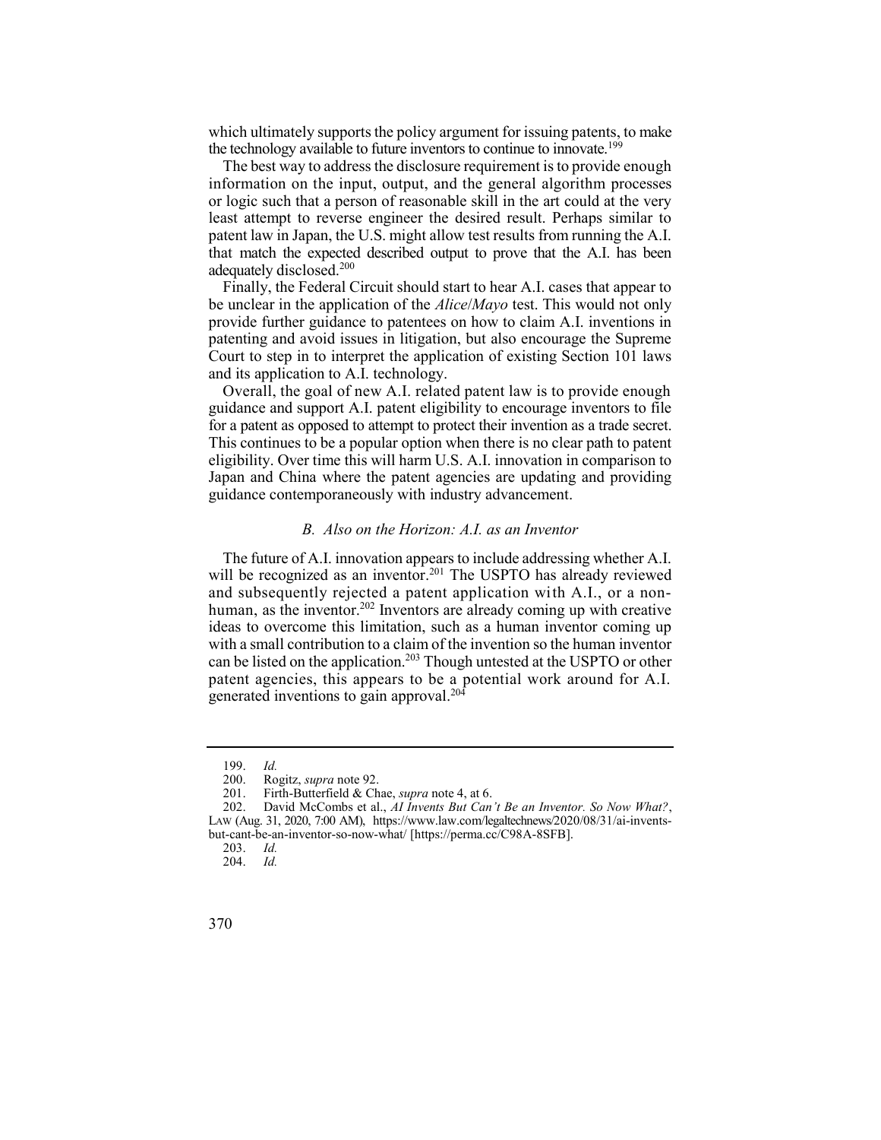which ultimately supports the policy argument for issuing patents, to make the technology available to future inventors to continue to innovate.<sup>199</sup>

 The best way to address the disclosure requirement is to provide enough information on the input, output, and the general algorithm processes or logic such that a person of reasonable skill in the art could at the very least attempt to reverse engineer the desired result. Perhaps similar to patent law in Japan, the U.S. might allow test results from running the A.I. that match the expected described output to prove that the A.I. has been adequately disclosed.200

 Finally, the Federal Circuit should start to hear A.I. cases that appear to be unclear in the application of the *Alice*/*Mayo* test. This would not only provide further guidance to patentees on how to claim A.I. inventions in Court to step in to interpret the application of existing Section 101 laws patenting and avoid issues in litigation, but also encourage the Supreme and its application to A.I. technology.

 Overall, the goal of new A.I. related patent law is to provide enough guidance and support A.I. patent eligibility to encourage inventors to file for a patent as opposed to attempt to protect their invention as a trade secret. This continues to be a popular option when there is no clear path to patent eligibility. Over time this will harm U.S. A.I. innovation in comparison to Japan and China where the patent agencies are updating and providing guidance contemporaneously with industry advancement.

## *B. Also on the Horizon: A.I. as an Inventor*

 and subsequently rejected a patent application with A.I., or a nonhuman, as the inventor.<sup>202</sup> Inventors are already coming up with creative can be listed on the application.<sup>203</sup> Though untested at the USPTO or other The future of A.I. innovation appears to include addressing whether A.I. will be recognized as an inventor.<sup>201</sup> The USPTO has already reviewed ideas to overcome this limitation, such as a human inventor coming up with a small contribution to a claim of the invention so the human inventor patent agencies, this appears to be a potential work around for A.I. generated inventions to gain approval.<sup>204</sup>

<sup>199.</sup> *Id.* 

<sup>200.</sup> Rogitz, *supra* note 92.

 201. Firth-Butterfield & Chae, *supra* note 4, at 6.

 202. David McCombs et al., *AI Invents But Can't Be an Inventor. So Now What?*, LAW (Aug. 31, 2020, 7:00 AM), <https://www.law.com/legaltechnews/2020/08/31/ai-invents>but-cant-be-an-inventor-so-now-what/ [\[https://perma.cc/C98A-8SFB](https://perma.cc/C98A-8SFB)].

<sup>203.</sup> *Id.* 

<sup>204.</sup> *Id.* 

<sup>370</sup>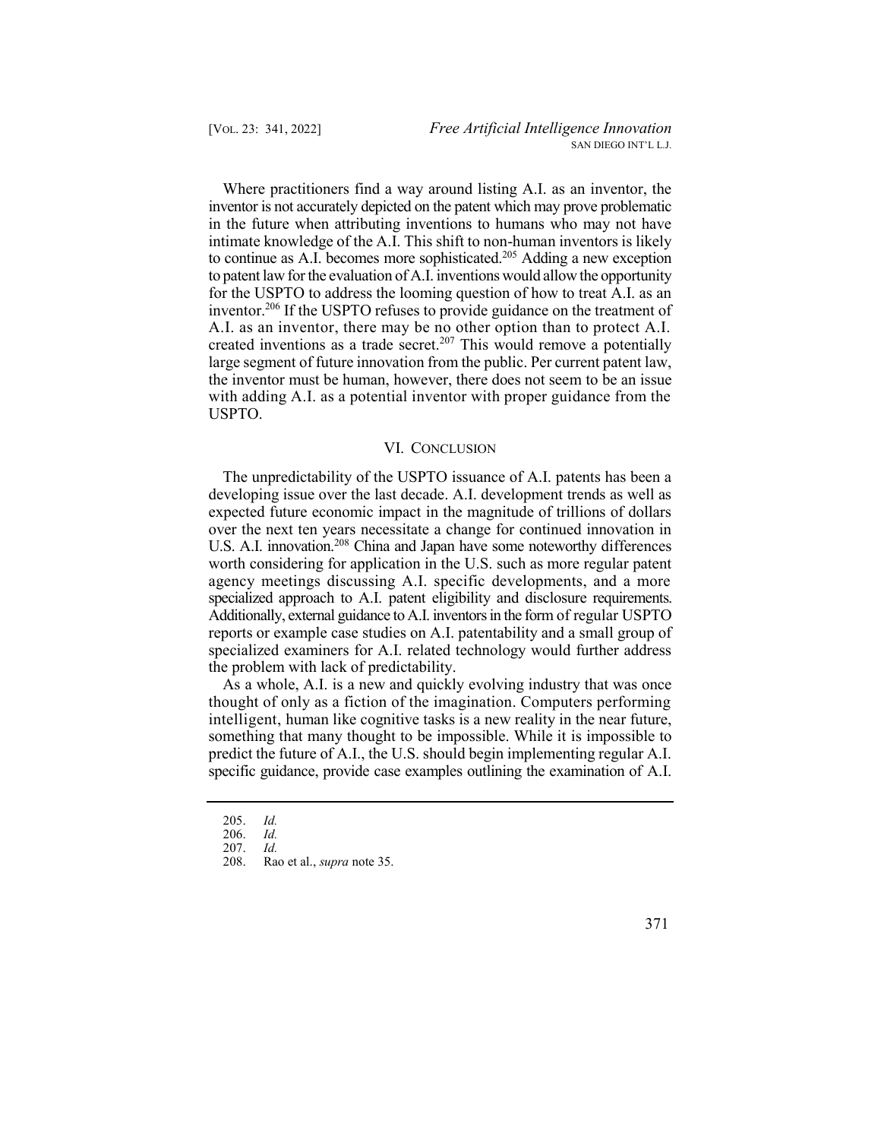Where practitioners find a way around listing A.I. as an inventor, the inventor is not accurately depicted on the patent which may prove problematic to continue as A.I. becomes more sophisticated.<sup>205</sup> Adding a new exception inventor.<sup>206</sup> If the USPTO refuses to provide guidance on the treatment of in the future when attributing inventions to humans who may not have intimate knowledge of the A.I. This shift to non-human inventors is likely to patent law for the evaluation of A.I. inventions would allow the opportunity for the USPTO to address the looming question of how to treat A.I. as an A.I. as an inventor, there may be no other option than to protect A.I. created inventions as a trade secret.<sup>207</sup> This would remove a potentially large segment of future innovation from the public. Per current patent law, the inventor must be human, however, there does not seem to be an issue with adding A.I. as a potential inventor with proper guidance from the USPTO.

## VI. CONCLUSION

 The unpredictability of the USPTO issuance of A.I. patents has been a developing issue over the last decade. A.I. development trends as well as expected future economic impact in the magnitude of trillions of dollars over the next ten years necessitate a change for continued innovation in U.S. A.I. innovation.<sup>208</sup> China and Japan have some noteworthy differences specialized approach to A.I. patent eligibility and disclosure requirements. Additionally, external guidance to A.I. inventors in the form of regular USPTO specialized examiners for A.I. related technology would further address worth considering for application in the U.S. such as more regular patent agency meetings discussing A.I. specific developments, and a more reports or example case studies on A.I. patentability and a small group of the problem with lack of predictability.

 As a whole, A.I. is a new and quickly evolving industry that was once thought of only as a fiction of the imagination. Computers performing something that many thought to be impossible. While it is impossible to predict the future of A.I., the U.S. should begin implementing regular A.I. specific guidance, provide case examples outlining the examination of A.I. intelligent, human like cognitive tasks is a new reality in the near future,

<sup>205.</sup> *Id.* 

<sup>206.</sup> *Id.* 

<sup>207.</sup> *Id.* 

 208. Rao et al., *supra* note 35.